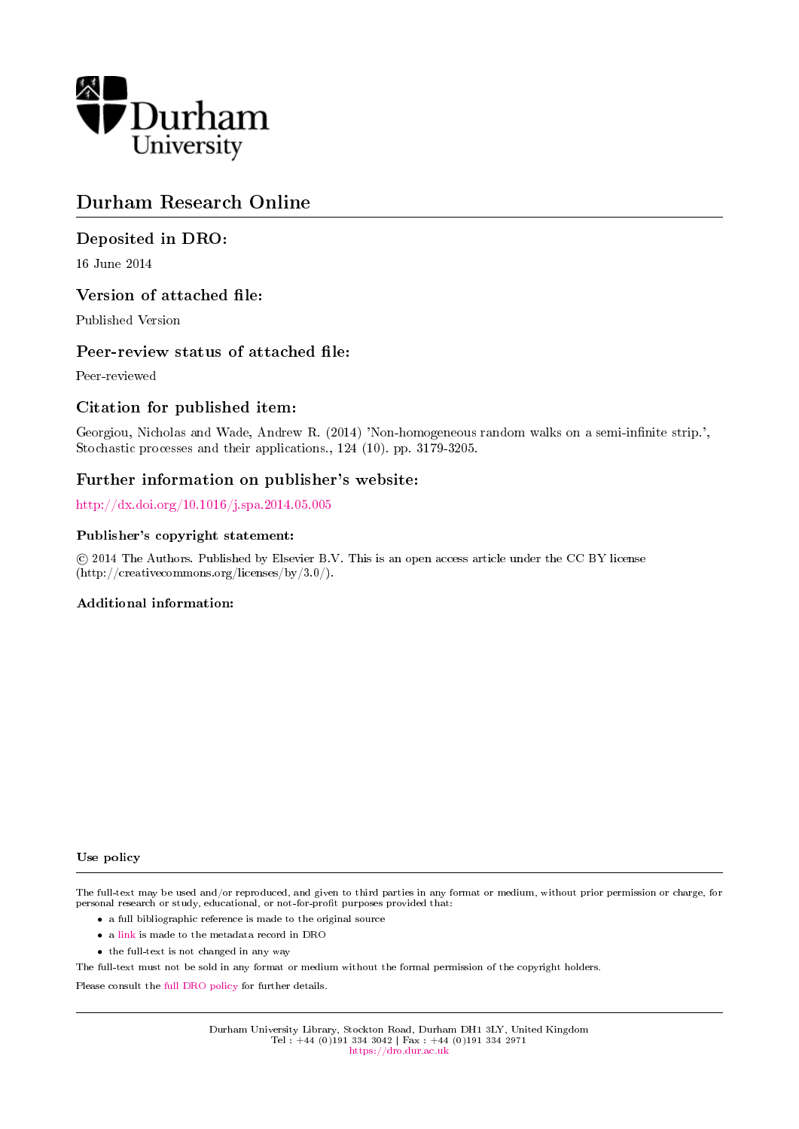

# Durham Research Online

# Deposited in DRO:

16 June 2014

# Version of attached file:

Published Version

# Peer-review status of attached file:

Peer-reviewed

# Citation for published item:

Georgiou, Nicholas and Wade, Andrew R. (2014) 'Non-homogeneous random walks on a semi-infinite strip.', Stochastic processes and their applications., 124 (10). pp. 3179-3205.

## Further information on publisher's website:

<http://dx.doi.org/10.1016/j.spa.2014.05.005>

### Publisher's copyright statement:

 c 2014 The Authors. Published by Elsevier B.V. This is an open access article under the CC BY license (http://creativecommons.org/licenses/by/3.0/).

### Additional information:

Use policy

The full-text may be used and/or reproduced, and given to third parties in any format or medium, without prior permission or charge, for personal research or study, educational, or not-for-profit purposes provided that:

- a full bibliographic reference is made to the original source
- a [link](http://dro.dur.ac.uk/12704/) is made to the metadata record in DRO
- the full-text is not changed in any way

The full-text must not be sold in any format or medium without the formal permission of the copyright holders.

Please consult the [full DRO policy](https://dro.dur.ac.uk/policies/usepolicy.pdf) for further details.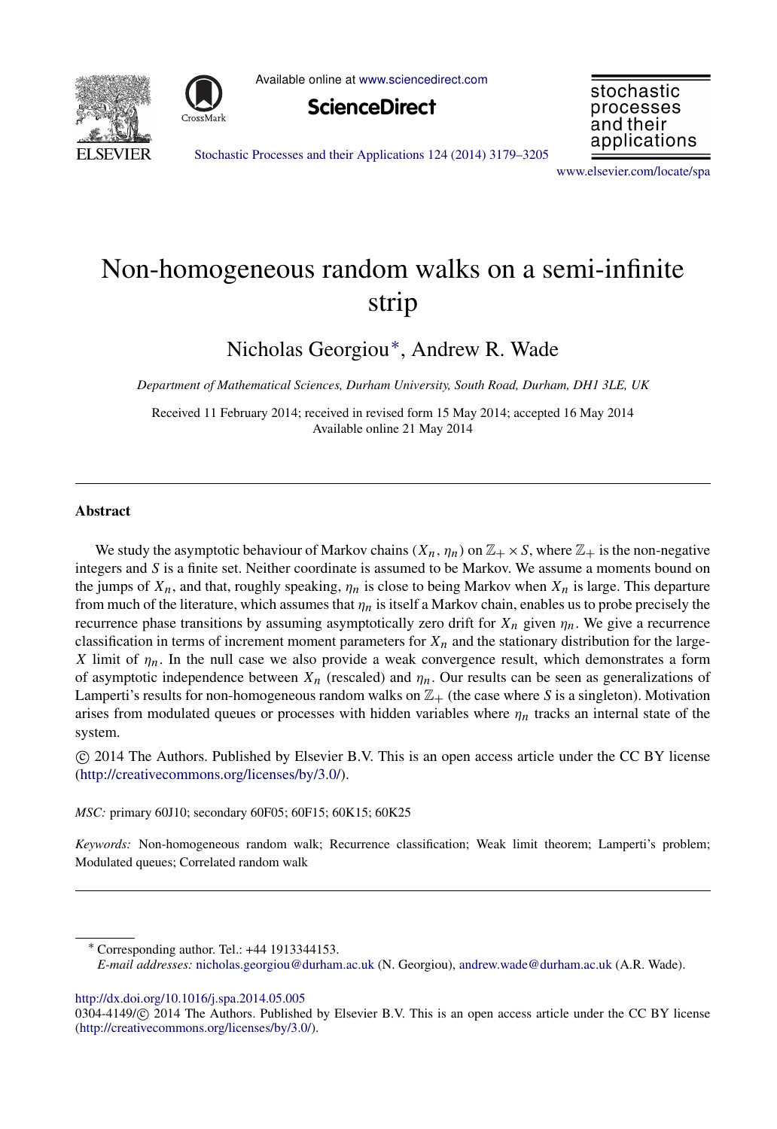



Available online at [www.sciencedirect.com](http://www.elsevier.com/locate/spa)





[Stochastic Processes and their Applications 124 \(2014\) 3179–3205](http://dx.doi.org/10.1016/j.spa.2014.05.005)

[www.elsevier.com/locate/spa](http://www.elsevier.com/locate/spa)

# Non-homogeneous random walks on a semi-infinite strip

Nicholas Georgiou[∗](#page-1-0) , Andrew R. Wade

*Department of Mathematical Sciences, Durham University, South Road, Durham, DH1 3LE, UK*

Received 11 February 2014; received in revised form 15 May 2014; accepted 16 May 2014 Available online 21 May 2014

#### Abstract

We study the asymptotic behaviour of Markov chains  $(X_n, \eta_n)$  on  $\mathbb{Z}_+ \times S$ , where  $\mathbb{Z}_+$  is the non-negative integers and *S* is a finite set. Neither coordinate is assumed to be Markov. We assume a moments bound on the jumps of  $X_n$ , and that, roughly speaking,  $\eta_n$  is close to being Markov when  $X_n$  is large. This departure from much of the literature, which assumes that  $\eta_n$  is itself a Markov chain, enables us to probe precisely the recurrence phase transitions by assuming asymptotically zero drift for  $X_n$  given  $\eta_n$ . We give a recurrence classification in terms of increment moment parameters for  $X_n$  and the stationary distribution for the large-*X* limit of  $\eta_n$ . In the null case we also provide a weak convergence result, which demonstrates a form of asymptotic independence between  $X_n$  (rescaled) and  $\eta_n$ . Our results can be seen as generalizations of Lamperti's results for non-homogeneous random walks on  $\mathbb{Z}_+$  (the case where *S* is a singleton). Motivation arises from modulated queues or processes with hidden variables where  $\eta_n$  tracks an internal state of the system.

⃝c 2014 The Authors. Published by Elsevier B.V. This is an open access article under the CC BY license [\(http://creativecommons.org/licenses/by/3.0/\)](http://creativecommons.org/licenses/by/3.0/).

*MSC:* primary 60J10; secondary 60F05; 60F15; 60K15; 60K25

*Keywords:* Non-homogeneous random walk; Recurrence classification; Weak limit theorem; Lamperti's problem; Modulated queues; Correlated random walk

<http://dx.doi.org/10.1016/j.spa.2014.05.005>

<span id="page-1-0"></span><sup>∗</sup> Corresponding author. Tel.: +44 1913344153.

*E-mail addresses:* [nicholas.georgiou@durham.ac.uk](mailto:nicholas.georgiou@durham.ac.uk) (N. Georgiou), [andrew.wade@durham.ac.uk](mailto:andrew.wade@durham.ac.uk) (A.R. Wade).

<sup>0304-4149/© 2014</sup> The Authors. Published by Elsevier B.V. This is an open access article under the CC BY license [\(http://creativecommons.org/licenses/by/3.0/\)](http://creativecommons.org/licenses/by/3.0/).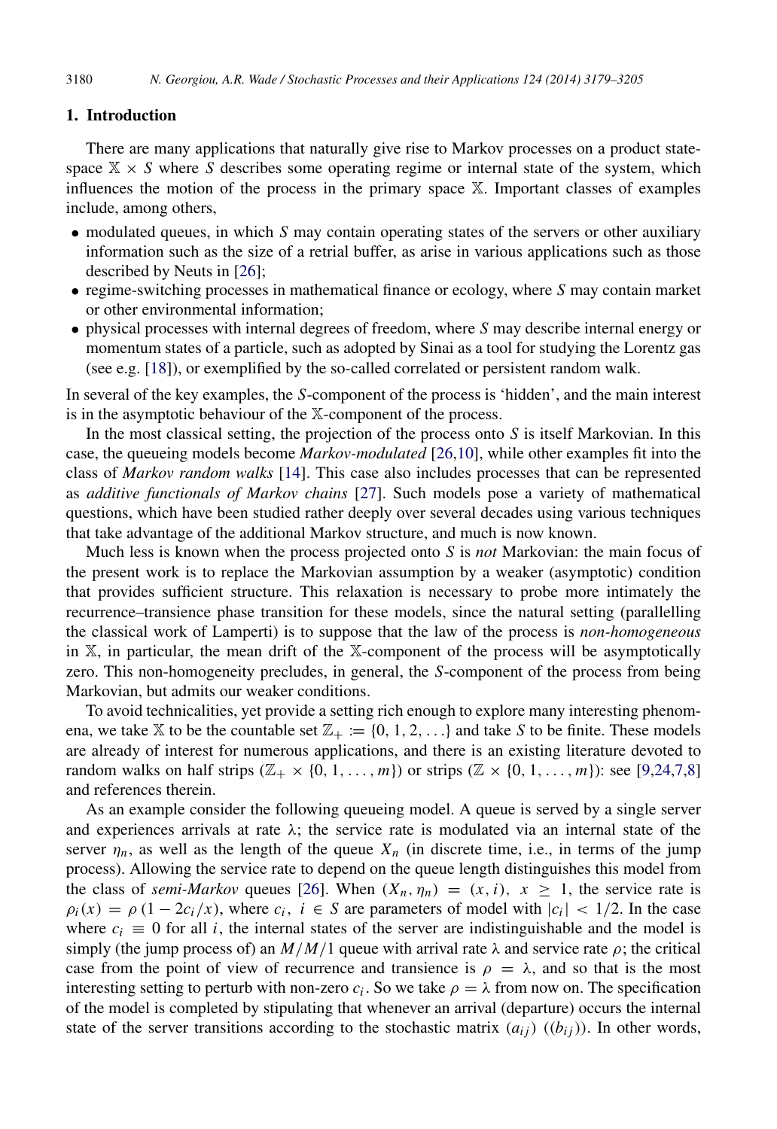#### 1. Introduction

There are many applications that naturally give rise to Markov processes on a product statespace  $X \times S$  where *S* describes some operating regime or internal state of the system, which influences the motion of the process in the primary space X. Important classes of examples include, among others,

- modulated queues, in which *S* may contain operating states of the servers or other auxiliary information such as the size of a retrial buffer, as arise in various applications such as those described by Neuts in [\[26\]](#page-27-0);
- regime-switching processes in mathematical finance or ecology, where *S* may contain market or other environmental information;
- physical processes with internal degrees of freedom, where *S* may describe internal energy or momentum states of a particle, such as adopted by Sinai as a tool for studying the Lorentz gas (see e.g. [\[18\]](#page-26-0)), or exemplified by the so-called correlated or persistent random walk.

In several of the key examples, the *S*-component of the process is 'hidden', and the main interest is in the asymptotic behaviour of the X-component of the process.

In the most classical setting, the projection of the process onto *S* is itself Markovian. In this case, the queueing models become *Markov-modulated* [\[26](#page-27-0)[,10\]](#page-26-1), while other examples fit into the class of *Markov random walks* [\[14\]](#page-26-2). This case also includes processes that can be represented as *additive functionals of Markov chains* [\[27\]](#page-27-1). Such models pose a variety of mathematical questions, which have been studied rather deeply over several decades using various techniques that take advantage of the additional Markov structure, and much is now known.

Much less is known when the process projected onto *S* is *not* Markovian: the main focus of the present work is to replace the Markovian assumption by a weaker (asymptotic) condition that provides sufficient structure. This relaxation is necessary to probe more intimately the recurrence–transience phase transition for these models, since the natural setting (parallelling the classical work of Lamperti) is to suppose that the law of the process is *non-homogeneous* in X, in particular, the mean drift of the X-component of the process will be asymptotically zero. This non-homogeneity precludes, in general, the *S*-component of the process from being Markovian, but admits our weaker conditions.

To avoid technicalities, yet provide a setting rich enough to explore many interesting phenomena, we take X to be the countable set  $\mathbb{Z}_+ := \{0, 1, 2, \ldots\}$  and take S to be finite. These models are already of interest for numerous applications, and there is an existing literature devoted to random walks on half strips  $(\mathbb{Z}_+ \times \{0, 1, \ldots, m\})$  or strips  $(\mathbb{Z}_+ \times \{0, 1, \ldots, m\})$ : see [\[9,](#page-26-3)[24,](#page-27-2)[7,](#page-26-4)[8\]](#page-26-5) and references therein.

As an example consider the following queueing model. A queue is served by a single server and experiences arrivals at rate  $\lambda$ ; the service rate is modulated via an internal state of the server  $\eta_n$ , as well as the length of the queue  $X_n$  (in discrete time, i.e., in terms of the jump process). Allowing the service rate to depend on the queue length distinguishes this model from the class of *semi-Markov* queues [\[26\]](#page-27-0). When  $(X_n, \eta_n) = (x, i)$ ,  $x \ge 1$ , the service rate is  $\rho_i(x) = \rho(1 - 2c_i/x)$ , where  $c_i$ ,  $i \in S$  are parameters of model with  $|c_i| < 1/2$ . In the case where  $c_i \equiv 0$  for all *i*, the internal states of the server are indistinguishable and the model is simply (the jump process of) an  $M/M/1$  queue with arrival rate  $\lambda$  and service rate  $\rho$ ; the critical case from the point of view of recurrence and transience is  $\rho = \lambda$ , and so that is the most interesting setting to perturb with non-zero  $c_i$ . So we take  $\rho = \lambda$  from now on. The specification of the model is completed by stipulating that whenever an arrival (departure) occurs the internal state of the server transitions according to the stochastic matrix  $(a_{ij})$  ( $(b_{ij})$ ). In other words,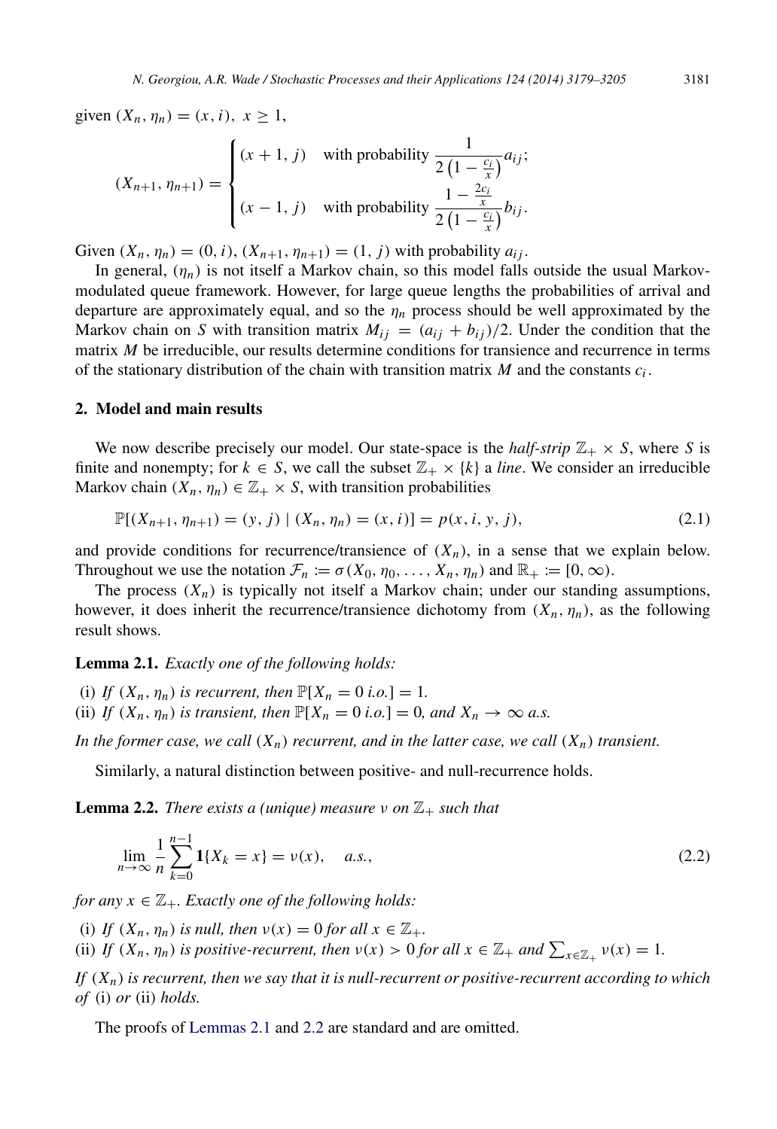given  $(X_n, \eta_n) = (x, i), x \ge 1$ ,

$$
(X_{n+1}, \eta_{n+1}) = \begin{cases} (x+1, j) & \text{with probability } \frac{1}{2\left(1 - \frac{c_i}{x}\right)} a_{ij};\\ (x-1, j) & \text{with probability } \frac{1 - \frac{2c_i}{x}}{2\left(1 - \frac{c_i}{x}\right)} b_{ij}. \end{cases}
$$

Given  $(X_n, \eta_n) = (0, i)$ ,  $(X_{n+1}, \eta_{n+1}) = (1, j)$  with probability  $a_{ij}$ .

In general,  $(\eta_n)$  is not itself a Markov chain, so this model falls outside the usual Markovmodulated queue framework. However, for large queue lengths the probabilities of arrival and departure are approximately equal, and so the  $\eta_n$  process should be well approximated by the Markov chain on *S* with transition matrix  $M_{ij} = (a_{ij} + b_{ij})/2$ . Under the condition that the matrix *M* be irreducible, our results determine conditions for transience and recurrence in terms of the stationary distribution of the chain with transition matrix  $M$  and the constants  $c_i$ .

#### <span id="page-3-3"></span>2. Model and main results

We now describe precisely our model. Our state-space is the *half-strip*  $\mathbb{Z}_+ \times S$ , where *S* is finite and nonempty; for  $k \in S$ , we call the subset  $\mathbb{Z}_+ \times \{k\}$  a *line*. We consider an irreducible Markov chain  $(X_n, \eta_n) \in \mathbb{Z}_+ \times S$ , with transition probabilities

<span id="page-3-2"></span>
$$
\mathbb{P}[(X_{n+1}, \eta_{n+1}) = (y, j) | (X_n, \eta_n) = (x, i)] = p(x, i, y, j),
$$
\n(2.1)

and provide conditions for recurrence/transience of  $(X_n)$ , in a sense that we explain below. Throughout we use the notation  $\mathcal{F}_n := \sigma(X_0, \eta_0, \dots, X_n, \eta_n)$  and  $\mathbb{R}_+ := [0, \infty)$ .

The process  $(X_n)$  is typically not itself a Markov chain; under our standing assumptions, however, it does inherit the recurrence/transience dichotomy from  $(X_n, \eta_n)$ , as the following result shows.

<span id="page-3-0"></span>Lemma 2.1. *Exactly one of the following holds:*

(i) *If*  $(X_n, \eta_n)$  *is recurrent, then*  $\mathbb{P}[X_n = 0 \text{ i.o.}] = 1$ . (ii) *If*  $(X_n, \eta_n)$  *is transient, then*  $\mathbb{P}[X_n = 0 \text{ i.o.}] = 0$ *, and*  $X_n \to \infty$  *a.s.* 

*In the former case, we call*  $(X_n)$  *recurrent, and in the latter case, we call*  $(X_n)$  *transient.* 

Similarly, a natural distinction between positive- and null-recurrence holds.

**Lemma 2.2.** *There exists a (unique) measure*  $\nu$  *on*  $\mathbb{Z}_+$  *such that* 

<span id="page-3-1"></span>
$$
\lim_{n \to \infty} \frac{1}{n} \sum_{k=0}^{n-1} \mathbf{1}\{X_k = x\} = \nu(x), \quad a.s.,
$$
\n(2.2)

*for any*  $x \in \mathbb{Z}_+$ *. Exactly one of the following holds:* 

(i) *If*  $(X_n, \eta_n)$  *is null, then*  $\nu(x) = 0$  *for all*  $x \in \mathbb{Z}_+$ *.* 

(ii) *If*  $(X_n, \eta_n)$  *is positive-recurrent, then*  $\nu(x) > 0$  *for all*  $x \in \mathbb{Z}_+$  *and*  $\sum_{x \in \mathbb{Z}_+} \nu(x) = 1$ *.* 

*If* (*Xn*) *is recurrent, then we say that it is null-recurrent or positive-recurrent according to which of* (i) *or* (ii) *holds.*

The proofs of [Lemmas 2.1](#page-3-0) and [2.2](#page-3-1) are standard and are omitted.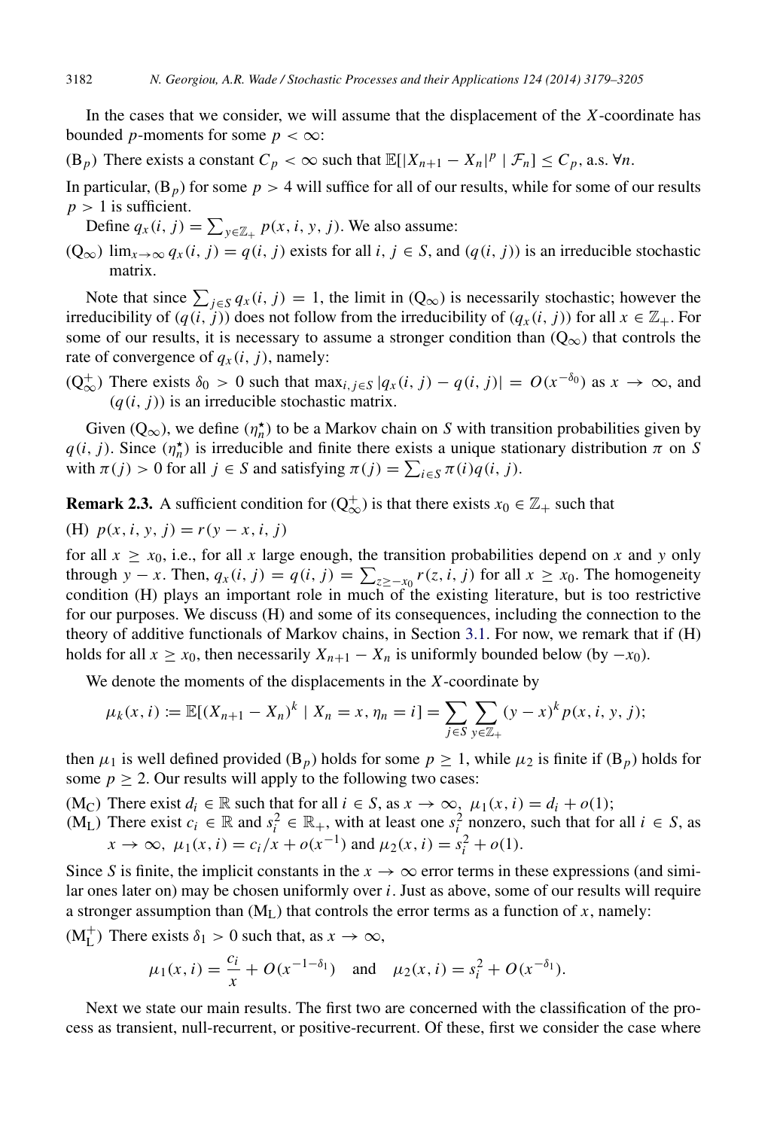In the cases that we consider, we will assume that the displacement of the *X*-coordinate has bounded *p*-moments for some  $p < \infty$ :

 $(B_p)$  There exists a constant  $C_p < \infty$  such that  $\mathbb{E}[|X_{n+1} - X_n|^p | \mathcal{F}_n] \leq C_p$ , a.s.  $\forall n$ .

In particular,  $(B_p)$  for some  $p > 4$  will suffice for all of our results, while for some of our results  $p > 1$  is sufficient.

Define  $q_x(i, j) = \sum_{y \in \mathbb{Z}_+} p(x, i, y, j)$ . We also assume:

(Q<sub>∞</sub>)  $\lim_{x\to\infty} q_x(i, j) = q(i, j)$  exists for all *i*, *j* ∈ *S*, and (*q*(*i*, *j*)) is an irreducible stochastic matrix.

Note that since  $\sum_{j \in S} q_x(i, j) = 1$ , the limit in  $(Q_\infty)$  is necessarily stochastic; however the irreducibility of  $(q(i, j))$  does not follow from the irreducibility of  $(q<sub>x</sub>(i, j))$  for all  $x \in \mathbb{Z}_+$ . For some of our results, it is necessary to assume a stronger condition than  $(Q_{\infty})$  that controls the rate of convergence of  $q_x(i, j)$ , namely:

( $Q_{\infty}^{+}$ ) There exists  $δ_0 > 0$  such that max<sub>*i*,*j*∈*S* | $q_x(i, j) - q(i, j)$ | =  $O(x^{-δ_0})$  as  $x → ∞$ , and</sub>  $(q(i, i))$  is an irreducible stochastic matrix.

Given  $(Q_{\infty})$ , we define  $(\eta_n^{\star})$  to be a Markov chain on *S* with transition probabilities given by  $q(i, j)$ . Since  $(\eta_n^*)$  is irreducible and finite there exists a unique stationary distribution  $\pi$  on *S* with  $\pi(j) > 0$  for all  $j \in S$  and satisfying  $\pi(j) = \sum_{i \in S} \pi(i)q(i, j)$ .

<span id="page-4-0"></span>**Remark 2.3.** A sufficient condition for  $(Q_{\infty}^+)$  is that there exists  $x_0 \in \mathbb{Z}_+$  such that

(H)  $p(x, i, y, j) = r(y - x, i, j)$ 

for all  $x \ge x_0$ , i.e., for all x large enough, the transition probabilities depend on x and y only through *y* − *x*. Then,  $q_x(i, j) = q(i, j) = \sum_{z \ge -x_0} r(z, i, j)$  for all  $x \ge x_0$ . The homogeneity condition (H) plays an important role in much of the existing literature, but is too restrictive for our purposes. We discuss (H) and some of its consequences, including the connection to the theory of additive functionals of Markov chains, in Section [3.1.](#page-6-0) For now, we remark that if (H) holds for all  $x \ge x_0$ , then necessarily  $X_{n+1} - X_n$  is uniformly bounded below (by  $-x_0$ ).

We denote the moments of the displacements in the *X*-coordinate by

$$
\mu_k(x, i) := \mathbb{E}[(X_{n+1} - X_n)^k \mid X_n = x, \eta_n = i] = \sum_{j \in S} \sum_{y \in \mathbb{Z}_+} (y - x)^k p(x, i, y, j);
$$

then  $\mu_1$  is well defined provided (B<sub>*p*</sub>) holds for some  $p \ge 1$ , while  $\mu_2$  is finite if (B<sub>*p*</sub>) holds for some  $p \ge 2$ . Our results will apply to the following two cases:

(M<sub>C</sub>) There exist  $d_i \in \mathbb{R}$  such that for all  $i \in S$ , as  $x \to \infty$ ,  $\mu_1(x, i) = d_i + o(1)$ ;

 $(M_L)$  There exist  $c_i \in \mathbb{R}$  and  $s_i^2 \in \mathbb{R}_+$ , with at least one  $s_i^2$  nonzero, such that for all  $i \in S$ , as  $x \to \infty$ ,  $\mu_1(x, i) = c_i/x + o(x^{-1})$  and  $\mu_2(x, i) = s_i^2 + o(1)$ .

Since *S* is finite, the implicit constants in the  $x \to \infty$  error terms in these expressions (and similar ones later on) may be chosen uniformly over *i*. Just as above, some of our results will require a stronger assumption than  $(M_L)$  that controls the error terms as a function of *x*, namely:

 $(M<sub>L</sub><sup>+</sup>)$  There exists  $\delta_1 > 0$  such that, as  $x \to \infty$ ,

$$
\mu_1(x, i) = \frac{c_i}{x} + O(x^{-1-\delta_1})
$$
 and  $\mu_2(x, i) = s_i^2 + O(x^{-\delta_1}).$ 

Next we state our main results. The first two are concerned with the classification of the process as transient, null-recurrent, or positive-recurrent. Of these, first we consider the case where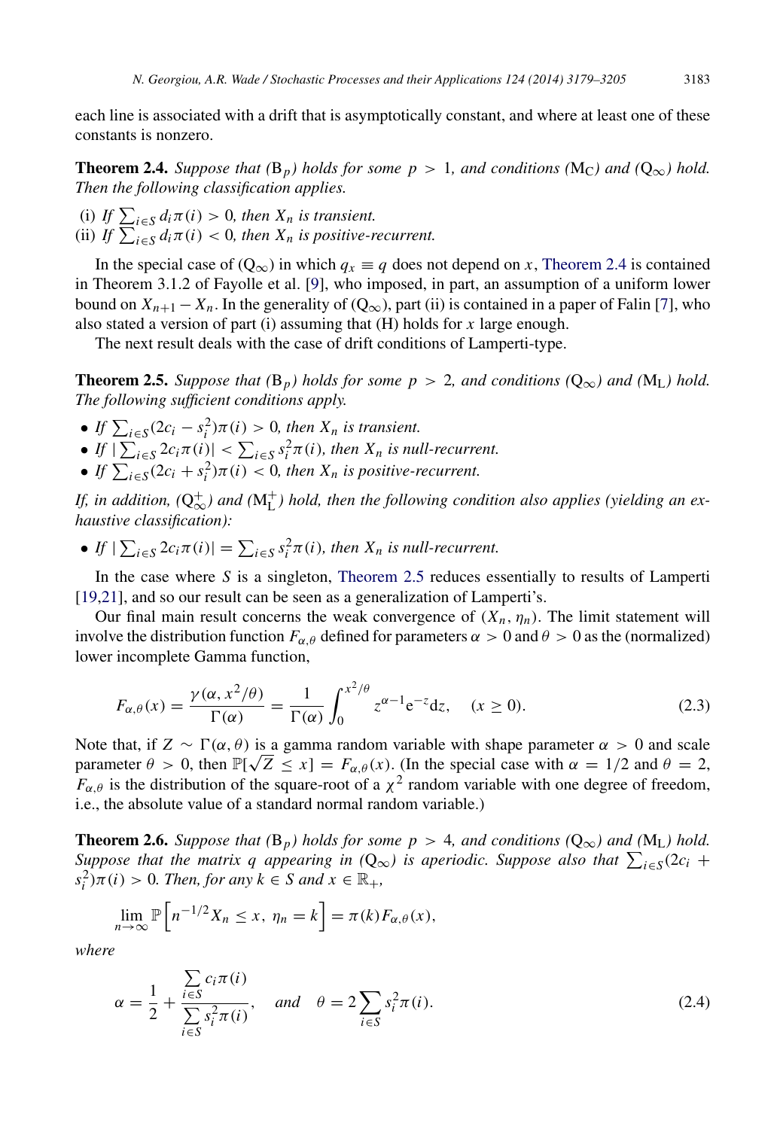each line is associated with a drift that is asymptotically constant, and where at least one of these constants is nonzero.

<span id="page-5-0"></span>**Theorem 2.4.** *Suppose that* ( $B_p$ *) holds for some p* > 1*, and conditions* ( $M_C$ *) and* ( $Q_\infty$ *) hold. Then the following classification applies.*

(i) If  $\sum_{i \in S} d_i \pi(i) > 0$ , then  $X_n$  is transient. (ii) *If*  $\sum_{i \in S} d_i \pi(i) < 0$ , then  $X_n$  is positive-recurrent.

In the special case of  $(Q_{\infty})$  in which  $q_x \equiv q$  does not depend on *x*, [Theorem 2.4](#page-5-0) is contained in Theorem 3.1.2 of Fayolle et al. [\[9\]](#page-26-3), who imposed, in part, an assumption of a uniform lower bound on  $X_{n+1} - X_n$ . In the generality of  $(Q_\infty)$ , part (ii) is contained in a paper of Falin [\[7\]](#page-26-4), who also stated a version of part (i) assuming that (H) holds for *x* large enough.

<span id="page-5-1"></span>The next result deals with the case of drift conditions of Lamperti-type.

**Theorem 2.5.** *Suppose that* ( $B_p$ *) holds for some p* > 2*, and conditions* ( $Q_{\infty}$ *) and* ( $M_L$ *) hold. The following sufficient conditions apply.*

- If  $\sum_{i \in S} (2c_i s_i^2) \pi(i) > 0$ , then  $X_n$  is transient.
- If  $|\sum_{i \in S} 2c_i \pi(i)| < \sum_{i \in S} s_i^2 \pi(i)$ , then  $X_n$  is null-recurrent.
- $\bullet$  *If*  $\sum_{i \in S} (2c_i + s_i^2) \pi(i) < 0$ , then  $X_n$  is positive-recurrent.

If, in addition,  $(Q_{\infty}^+)$  and  $(M_{L}^+)$  hold, then the following condition also applies (yielding an ex*haustive classification):*

• If  $|\sum_{i \in S} 2c_i \pi(i)| = \sum_{i \in S} s_i^2 \pi(i)$ , then  $X_n$  is null-recurrent.

In the case where *S* is a singleton, [Theorem 2.5](#page-5-1) reduces essentially to results of Lamperti [\[19,](#page-27-3)[21\]](#page-27-4), and so our result can be seen as a generalization of Lamperti's.

Our final main result concerns the weak convergence of  $(X_n, \eta_n)$ . The limit statement will involve the distribution function  $F_{\alpha,\theta}$  defined for parameters  $\alpha > 0$  and  $\theta > 0$  as the (normalized) lower incomplete Gamma function,

<span id="page-5-3"></span>
$$
F_{\alpha,\theta}(x) = \frac{\gamma(\alpha, x^2/\theta)}{\Gamma(\alpha)} = \frac{1}{\Gamma(\alpha)} \int_0^{x^2/\theta} z^{\alpha-1} e^{-z} dz, \quad (x \ge 0).
$$
 (2.3)

Note that, if  $Z \sim \Gamma(\alpha, \theta)$  is a gamma random variable with shape parameter  $\alpha > 0$  and scale parameter  $\theta > 0$ , then  $\mathbb{P}[\sqrt{Z} \le x] = F_{\alpha,\theta}(x)$ . (In the special case with  $\alpha = 1/2$  and  $\theta = 2$ ,  $F_{\alpha,\theta}$  is the distribution of the square-root of a  $\chi^2$  random variable with one degree of freedom, i.e., the absolute value of a standard normal random variable.)

**Theorem 2.6.** *Suppose that* ( $B_p$ *) holds for some p* > 4*, and conditions* ( $Q_\infty$ *) and* ( $M_L$ *) hold. Suppose that the matrix q appearing in*  $(Q_{\infty})$  *is aperiodic. Suppose also that*  $\sum_{i \in S} (2c_i +$  $s_i^2$ ) $\pi(i) > 0$ *. Then, for any*  $k \in S$  *and*  $x \in \mathbb{R}_+$ *,* 

<span id="page-5-2"></span>
$$
\lim_{n\to\infty}\mathbb{P}\left[n^{-1/2}X_n\leq x,\ \eta_n=k\right]=\pi(k)F_{\alpha,\theta}(x),
$$

*where*

<span id="page-5-4"></span>
$$
\alpha = \frac{1}{2} + \frac{\sum_{i \in S} c_i \pi(i)}{\sum_{i \in S} s_i^2 \pi(i)}, \quad \text{and} \quad \theta = 2 \sum_{i \in S} s_i^2 \pi(i). \tag{2.4}
$$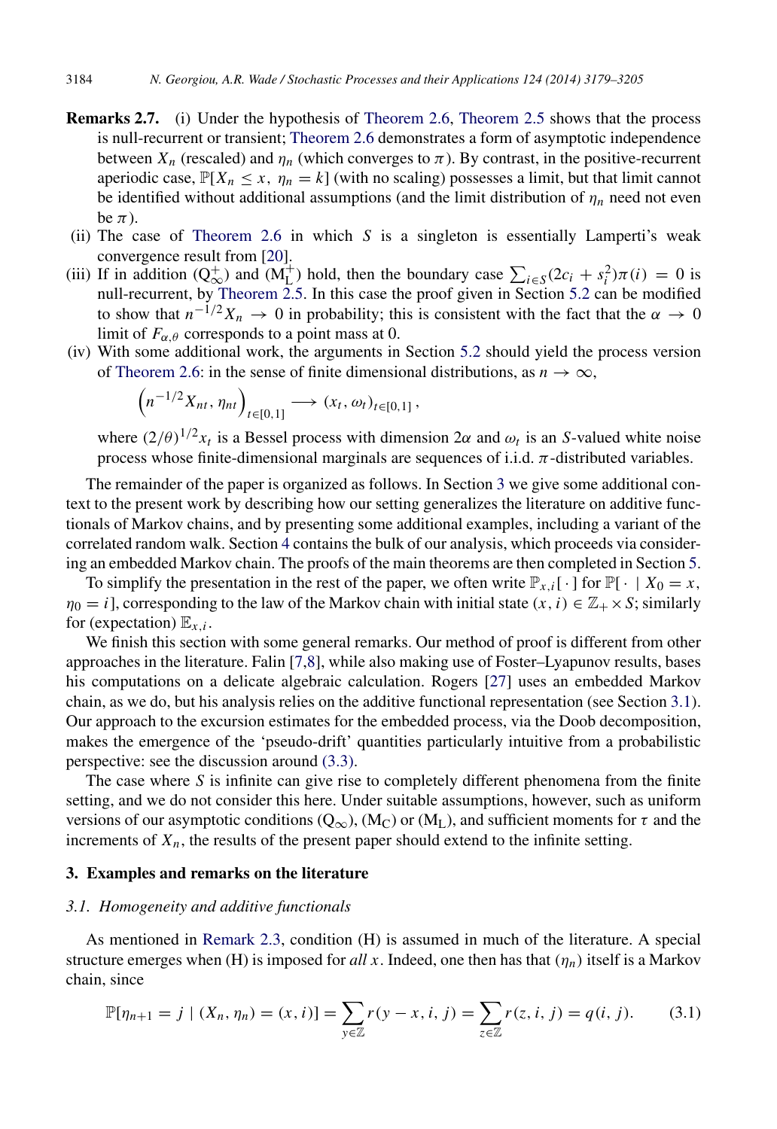- <span id="page-6-3"></span>Remarks 2.7. (i) Under the hypothesis of [Theorem 2.6,](#page-5-2) [Theorem 2.5](#page-5-1) shows that the process is null-recurrent or transient; [Theorem 2.6](#page-5-2) demonstrates a form of asymptotic independence between  $X_n$  (rescaled) and  $\eta_n$  (which converges to  $\pi$ ). By contrast, in the positive-recurrent aperiodic case,  $\mathbb{P}[X_n \le x, \eta_n = k]$  (with no scaling) possesses a limit, but that limit cannot be identified without additional assumptions (and the limit distribution of  $\eta_n$  need not even be  $\pi$ ).
- (ii) The case of [Theorem 2.6](#page-5-2) in which *S* is a singleton is essentially Lamperti's weak convergence result from [\[20\]](#page-27-5).
- (iii) If in addition  $(Q_{\infty}^+)$  and  $(M_L^+)$  hold, then the boundary case  $\sum_{i \in S} (2c_i + s_i^2)\pi(i) = 0$  is null-recurrent, by Theorem  $\overline{2.5}$ . In this case the proof given in Section [5.2](#page-20-0) can be modified to show that  $n^{-1/2}X_n \to 0$  in probability; this is consistent with the fact that the  $\alpha \to 0$ limit of  $F_{\alpha,\theta}$  corresponds to a point mass at 0.
- (iv) With some additional work, the arguments in Section [5.2](#page-20-0) should yield the process version of [Theorem 2.6:](#page-5-2) in the sense of finite dimensional distributions, as  $n \to \infty$ ,

$$
\left(n^{-1/2}X_{nt},\eta_{nt}\right)_{t\in[0,1]}\longrightarrow (x_t,\omega_t)_{t\in[0,1]},
$$

where  $(2/\theta)^{1/2}x_t$  is a Bessel process with dimension  $2\alpha$  and  $\omega_t$  is an *S*-valued white noise process whose finite-dimensional marginals are sequences of i.i.d.  $\pi$ -distributed variables.

The remainder of the paper is organized as follows. In Section [3](#page-6-1) we give some additional context to the present work by describing how our setting generalizes the literature on additive functionals of Markov chains, and by presenting some additional examples, including a variant of the correlated random walk. Section [4](#page-9-0) contains the bulk of our analysis, which proceeds via considering an embedded Markov chain. The proofs of the main theorems are then completed in Section [5.](#page-19-0)

To simplify the presentation in the rest of the paper, we often write  $\mathbb{P}_{x,i}[\cdot]$  for  $\mathbb{P}[\cdot | X_0 = x$ ,  $\eta_0 = i$ , corresponding to the law of the Markov chain with initial state  $(x, i) \in \mathbb{Z}_+ \times S$ ; similarly for (expectation)  $\mathbb{E}_{x,i}$ .

We finish this section with some general remarks. Our method of proof is different from other approaches in the literature. Falin [\[7](#page-26-4)[,8\]](#page-26-5), while also making use of Foster–Lyapunov results, bases his computations on a delicate algebraic calculation. Rogers [\[27\]](#page-27-1) uses an embedded Markov chain, as we do, but his analysis relies on the additive functional representation (see Section [3.1\)](#page-6-0). Our approach to the excursion estimates for the embedded process, via the Doob decomposition, makes the emergence of the 'pseudo-drift' quantities particularly intuitive from a probabilistic perspective: see the discussion around [\(3.3\).](#page-7-0)

The case where *S* is infinite can give rise to completely different phenomena from the finite setting, and we do not consider this here. Under suitable assumptions, however, such as uniform versions of our asymptotic conditions ( $Q_{\infty}$ ), (M<sub>C</sub>) or (M<sub>L</sub>), and sufficient moments for  $\tau$  and the increments of  $X_n$ , the results of the present paper should extend to the infinite setting.

#### <span id="page-6-1"></span>3. Examples and remarks on the literature

#### <span id="page-6-0"></span>*3.1. Homogeneity and additive functionals*

As mentioned in [Remark 2.3,](#page-4-0) condition (H) is assumed in much of the literature. A special structure emerges when (H) is imposed for *all x*. Indeed, one then has that  $(\eta_n)$  itself is a Markov chain, since

<span id="page-6-2"></span>
$$
\mathbb{P}[\eta_{n+1} = j \mid (X_n, \eta_n) = (x, i)] = \sum_{y \in \mathbb{Z}} r(y - x, i, j) = \sum_{z \in \mathbb{Z}} r(z, i, j) = q(i, j). \tag{3.1}
$$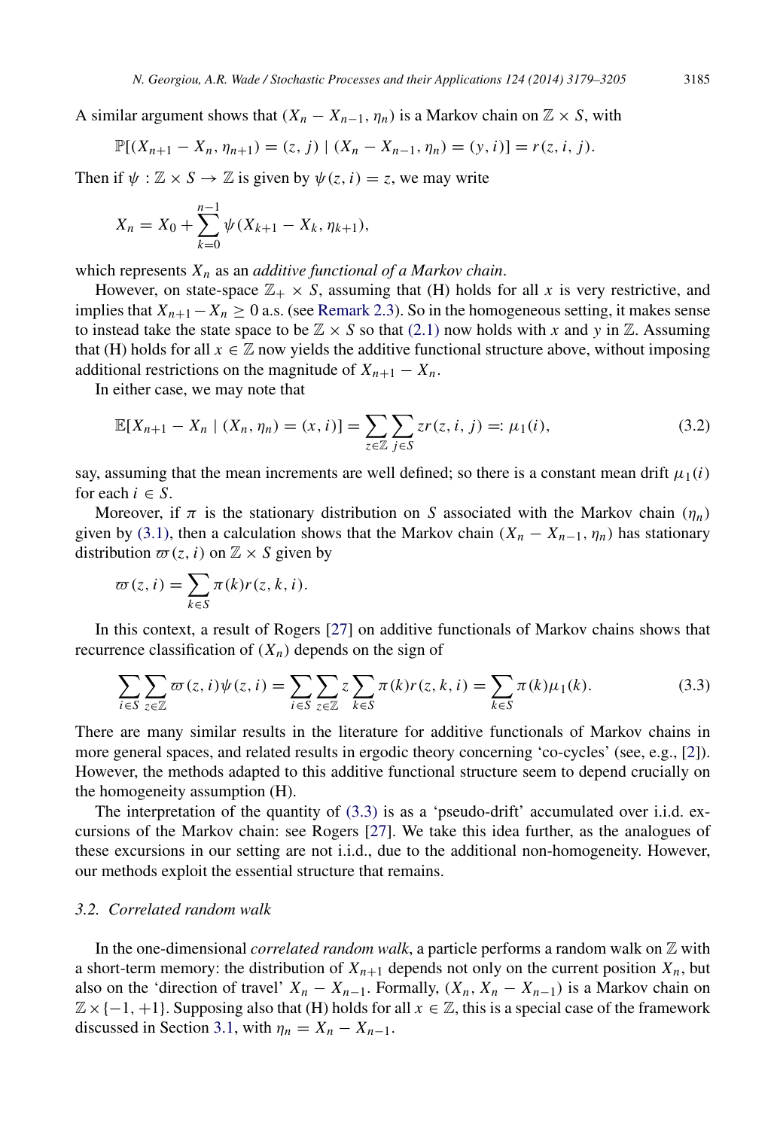A similar argument shows that  $(X_n - X_{n-1}, \eta_n)$  is a Markov chain on  $\mathbb{Z} \times S$ , with

$$
\mathbb{P}[(X_{n+1}-X_n,\eta_{n+1})=(z,j)\mid (X_n-X_{n-1},\eta_n)=(y,i)]=r(z,i,j).
$$

Then if  $\psi : \mathbb{Z} \times S \to \mathbb{Z}$  is given by  $\psi(z, i) = z$ , we may write

$$
X_n = X_0 + \sum_{k=0}^{n-1} \psi(X_{k+1} - X_k, \eta_{k+1}),
$$

which represents *X<sup>n</sup>* as an *additive functional of a Markov chain*.

However, on state-space  $\mathbb{Z}_+ \times S$ , assuming that (H) holds for all x is very restrictive, and implies that  $X_{n+1}-X_n \geq 0$  a.s. (see [Remark 2.3\)](#page-4-0). So in the homogeneous setting, it makes sense to instead take the state space to be  $\mathbb{Z} \times S$  so that [\(2.1\)](#page-3-2) now holds with *x* and *y* in  $\mathbb{Z}$ . Assuming that (H) holds for all  $x \in \mathbb{Z}$  now yields the additive functional structure above, without imposing additional restrictions on the magnitude of  $X_{n+1} - X_n$ .

In either case, we may note that

<span id="page-7-1"></span>
$$
\mathbb{E}[X_{n+1} - X_n | (X_n, \eta_n) = (x, i)] = \sum_{z \in \mathbb{Z}} \sum_{j \in S} zr(z, i, j) =: \mu_1(i),
$$
\n(3.2)

say, assuming that the mean increments are well defined; so there is a constant mean drift  $\mu_1(i)$ for each  $i \in S$ .

Moreover, if  $\pi$  is the stationary distribution on *S* associated with the Markov chain ( $\eta_n$ ) given by [\(3.1\),](#page-6-2) then a calculation shows that the Markov chain  $(X_n - X_{n-1}, \eta_n)$  has stationary distribution  $\varpi(z, i)$  on  $\mathbb{Z} \times S$  given by

$$
\varpi(z, i) = \sum_{k \in S} \pi(k) r(z, k, i).
$$

In this context, a result of Rogers [\[27\]](#page-27-1) on additive functionals of Markov chains shows that recurrence classification of  $(X_n)$  depends on the sign of

<span id="page-7-0"></span>
$$
\sum_{i \in S} \sum_{z \in \mathbb{Z}} \varpi(z, i) \psi(z, i) = \sum_{i \in S} \sum_{z \in \mathbb{Z}} z \sum_{k \in S} \pi(k) r(z, k, i) = \sum_{k \in S} \pi(k) \mu_1(k).
$$
 (3.3)

There are many similar results in the literature for additive functionals of Markov chains in more general spaces, and related results in ergodic theory concerning 'co-cycles' (see, e.g., [\[2\]](#page-26-6)). However, the methods adapted to this additive functional structure seem to depend crucially on the homogeneity assumption (H).

The interpretation of the quantity of [\(3.3\)](#page-7-0) is as a 'pseudo-drift' accumulated over i.i.d. excursions of the Markov chain: see Rogers [\[27\]](#page-27-1). We take this idea further, as the analogues of these excursions in our setting are not i.i.d., due to the additional non-homogeneity. However, our methods exploit the essential structure that remains.

#### *3.2. Correlated random walk*

In the one-dimensional *correlated random walk*, a particle performs a random walk on Z with a short-term memory: the distribution of  $X_{n+1}$  depends not only on the current position  $X_n$ , but also on the 'direction of travel'  $X_n - X_{n-1}$ . Formally,  $(X_n, X_n - X_{n-1})$  is a Markov chain on  $\mathbb{Z} \times \{-1, +1\}$ . Supposing also that (H) holds for all  $x \in \mathbb{Z}$ , this is a special case of the framework discussed in Section [3.1,](#page-6-0) with  $\eta_n = X_n - X_{n-1}$ .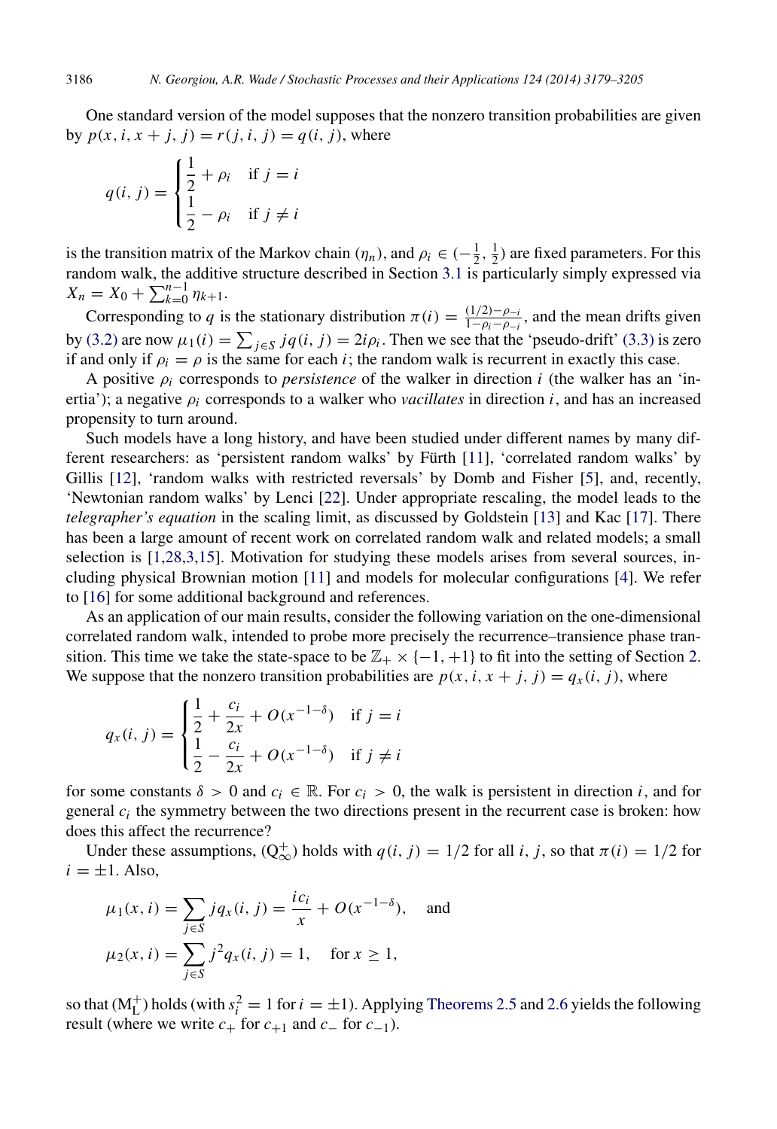One standard version of the model supposes that the nonzero transition probabilities are given by  $p(x, i, x + j, j) = r(j, i, j) = q(i, j)$ , where

$$
q(i, j) = \begin{cases} \frac{1}{2} + \rho_i & \text{if } j = i \\ \frac{1}{2} - \rho_i & \text{if } j \neq i \end{cases}
$$

is the transition matrix of the Markov chain  $(\eta_n)$ , and  $\rho_i \in (-\frac{1}{2}, \frac{1}{2})$  are fixed parameters. For this random walk, the additive structure described in Section [3.1](#page-6-0) is particularly simply expressed via  $X_n = X_0 + \sum_{k=0}^{n-1} \eta_{k+1}.$ 

Corresponding to *q* is the stationary distribution  $\pi(i) = \frac{(1/2)-\rho_{-i}}{1-\rho_{i}-\rho_{i}}$  $\frac{(1/2)-\rho_{-i}}{1-\rho_i-\rho_{-i}}$ , and the mean drifts given by [\(3.2\)](#page-7-1) are now  $\mu_1(i) = \sum_{j \in S} jq(i, j) = 2i\rho_i$ . Then we see that the 'pseudo-drift' [\(3.3\)](#page-7-0) is zero if and only if  $\rho_i = \rho$  is the same for each *i*; the random walk is recurrent in exactly this case.

A positive ρ*<sup>i</sup>* corresponds to *persistence* of the walker in direction *i* (the walker has an 'inertia'); a negative  $\rho_i$  corresponds to a walker who *vacillates* in direction *i*, and has an increased propensity to turn around.

Such models have a long history, and have been studied under different names by many dif-ferent researchers: as 'persistent random walks' by Fürth [[11\]](#page-26-7), 'correlated random walks' by Gillis [\[12\]](#page-26-8), 'random walks with restricted reversals' by Domb and Fisher [\[5\]](#page-26-9), and, recently, 'Newtonian random walks' by Lenci [\[22\]](#page-27-6). Under appropriate rescaling, the model leads to the *telegrapher's equation* in the scaling limit, as discussed by Goldstein [\[13\]](#page-26-10) and Kac [\[17\]](#page-26-11). There has been a large amount of recent work on correlated random walk and related models; a small selection is [\[1,](#page-26-12)[28,](#page-27-7)[3,](#page-26-13)[15\]](#page-26-14). Motivation for studying these models arises from several sources, including physical Brownian motion [\[11\]](#page-26-7) and models for molecular configurations [\[4\]](#page-26-15). We refer to [\[16\]](#page-26-16) for some additional background and references.

As an application of our main results, consider the following variation on the one-dimensional correlated random walk, intended to probe more precisely the recurrence–transience phase transition. This time we take the state-space to be  $\mathbb{Z}_+ \times \{-1, +1\}$  to fit into the setting of Section [2.](#page-3-3) We suppose that the nonzero transition probabilities are  $p(x, i, x + j, j) = q_x(i, j)$ , where

$$
q_x(i, j) = \begin{cases} \frac{1}{2} + \frac{c_i}{2x} + O(x^{-1-\delta}) & \text{if } j = i\\ \frac{1}{2} - \frac{c_i}{2x} + O(x^{-1-\delta}) & \text{if } j \neq i \end{cases}
$$

for some constants  $\delta > 0$  and  $c_i \in \mathbb{R}$ . For  $c_i > 0$ , the walk is persistent in direction *i*, and for general  $c_i$  the symmetry between the two directions present in the recurrent case is broken: how does this affect the recurrence?

Under these assumptions,  $(Q_{\infty}^+)$  holds with  $q(i, j) = 1/2$  for all *i*, *j*, so that  $\pi(i) = 1/2$  for  $i = \pm 1$ . Also,

$$
\mu_1(x, i) = \sum_{j \in S} jq_x(i, j) = \frac{ic_i}{x} + O(x^{-1-\delta}), \text{ and}
$$

$$
\mu_2(x, i) = \sum_{j \in S} j^2 q_x(i, j) = 1, \text{ for } x \ge 1,
$$

so that  $(M_L^+)$  holds (with  $s_i^2 = 1$  for  $i = \pm 1$ ). Applying [Theorems 2.5](#page-5-1) and [2.6](#page-5-2) yields the following result (where we write  $c_+$  for  $c_{+1}$  and  $c_-$  for  $c_{-1}$ ).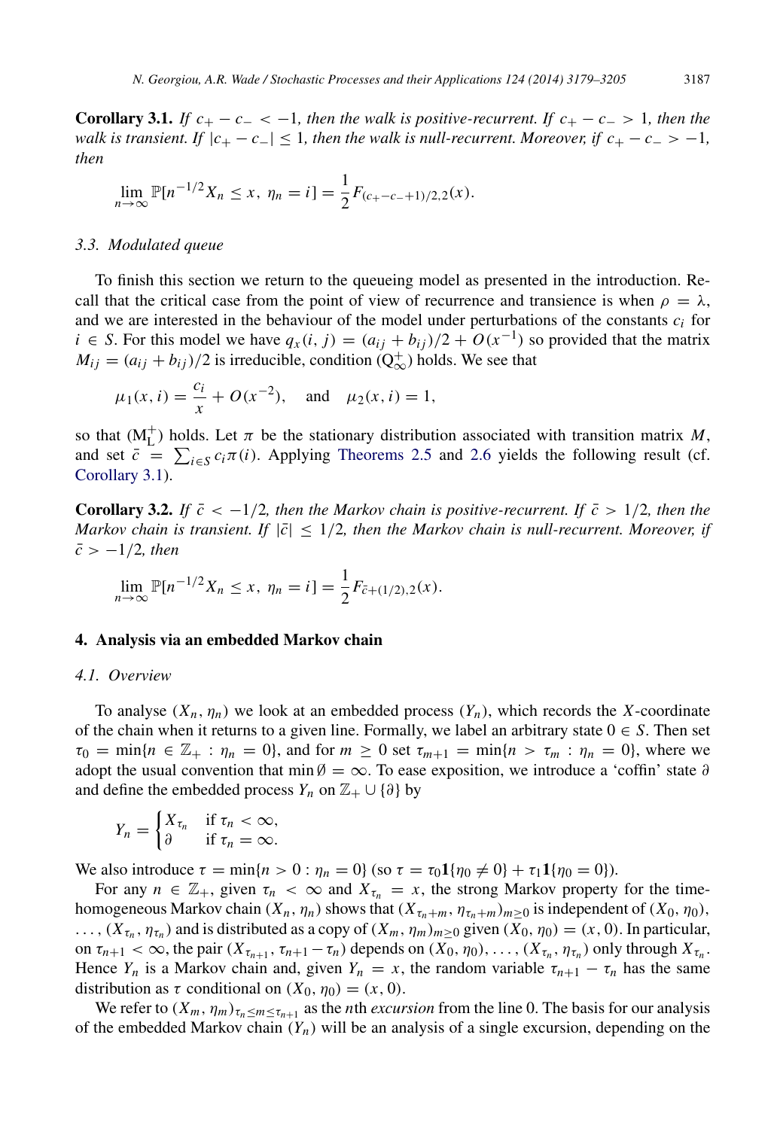**Corollary 3.1.** *If*  $c_+ - c_- < -1$ *, then the walk is positive-recurrent. If*  $c_+ - c_- > 1$ *, then the walk is transient. If*  $|c_{+} - c_{-}| \leq 1$ , then the walk is null-recurrent. Moreover, if  $c_{+} - c_{-} > -1$ , *then*

<span id="page-9-1"></span>
$$
\lim_{n \to \infty} \mathbb{P}[n^{-1/2}X_n \le x, \eta_n = i] = \frac{1}{2}F_{(c_{+}-c_{-}+1)/2,2}(x).
$$

#### *3.3. Modulated queue*

To finish this section we return to the queueing model as presented in the introduction. Recall that the critical case from the point of view of recurrence and transience is when  $\rho = \lambda$ , and we are interested in the behaviour of the model under perturbations of the constants  $c_i$  for *i* ∈ *S*. For this model we have  $q_x(i, j) = (a_{ij} + b_{ij})/2 + O(x^{-1})$  so provided that the matrix  $M_{ij} = (a_{ij} + b_{ij})/2$  is irreducible, condition  $(Q_{\infty}^+)$  holds. We see that

$$
\mu_1(x, i) = \frac{c_i}{x} + O(x^{-2}),
$$
 and  $\mu_2(x, i) = 1,$ 

so that  $(M<sub>L</sub><sup>+</sup>)$  holds. Let  $\pi$  be the stationary distribution associated with transition matrix *M*, and set  $\bar{c} = \sum_{i \in S} c_i \pi(i)$ . Applying [Theorems 2.5](#page-5-1) and [2.6](#page-5-2) yields the following result (cf. [Corollary 3.1\)](#page-9-1).

**Corollary 3.2.** *If*  $\bar{c}$  < -1/2*, then the Markov chain is positive-recurrent. If*  $\bar{c}$  > 1/2*, then the Markov chain is transient. If*  $|\bar{c}| \leq 1/2$ , then the Markov chain is null-recurrent. Moreover, if  $\bar{c}$  >  $-1/2$ *, then* 

$$
\lim_{n \to \infty} \mathbb{P}[n^{-1/2}X_n \le x, \eta_n = i] = \frac{1}{2}F_{\bar{c}+(1/2),2}(x).
$$

#### <span id="page-9-0"></span>4. Analysis via an embedded Markov chain

#### <span id="page-9-2"></span>*4.1. Overview*

To analyse  $(X_n, \eta_n)$  we look at an embedded process  $(Y_n)$ , which records the *X*-coordinate of the chain when it returns to a given line. Formally, we label an arbitrary state  $0 \in S$ . Then set  $\tau_0 = \min\{n \in \mathbb{Z}_+ : \eta_n = 0\}$ , and for  $m \geq 0$  set  $\tau_{m+1} = \min\{n > \tau_m : \eta_n = 0\}$ , where we adopt the usual convention that min  $\emptyset = \infty$ . To ease exposition, we introduce a 'coffin' state ∂ and define the embedded process  $Y_n$  on  $\mathbb{Z}_+ \cup \{\partial\}$  by

$$
Y_n = \begin{cases} X_{\tau_n} & \text{if } \tau_n < \infty, \\ \partial & \text{if } \tau_n = \infty. \end{cases}
$$

We also introduce  $\tau = \min\{n > 0 : \eta_n = 0\}$  (so  $\tau = \tau_0 \mathbf{1}\{\eta_0 \neq 0\} + \tau_1 \mathbf{1}\{\eta_0 = 0\}$ ).

For any  $n \in \mathbb{Z}_+$ , given  $\tau_n < \infty$  and  $X_{\tau_n} = x$ , the strong Markov property for the timehomogeneous Markov chain  $(X_n, \eta_n)$  shows that  $(X_{\tau_n+m}, \eta_{\tau_n+m})_{m\geq 0}$  is independent of  $(X_0, \eta_0)$ ,  $(X_{\tau_n}, \eta_{\tau_n})$  and is distributed as a copy of  $(X_m, \eta_m)_{m \geq 0}$  given  $(X_0, \eta_0) = (x, 0)$ . In particular, on  $\tau_{n+1} < \infty$ , the pair  $(X_{\tau_{n+1}}, \tau_{n+1} - \tau_n)$  depends on  $(X_0, \eta_0), \ldots, (X_{\tau_n}, \eta_{\tau_n})$  only through  $X_{\tau_n}$ . Hence  $Y_n$  is a Markov chain and, given  $Y_n = x$ , the random variable  $\tau_{n+1} - \tau_n$  has the same distribution as  $\tau$  conditional on  $(X_0, \eta_0) = (x, 0)$ .

We refer to  $(X_m, \eta_m)_{\tau_n \le m \le \tau_{n+1}}$  as the *n*th *excursion* from the line 0. The basis for our analysis of the embedded Markov chain  $(Y_n)$  will be an analysis of a single excursion, depending on the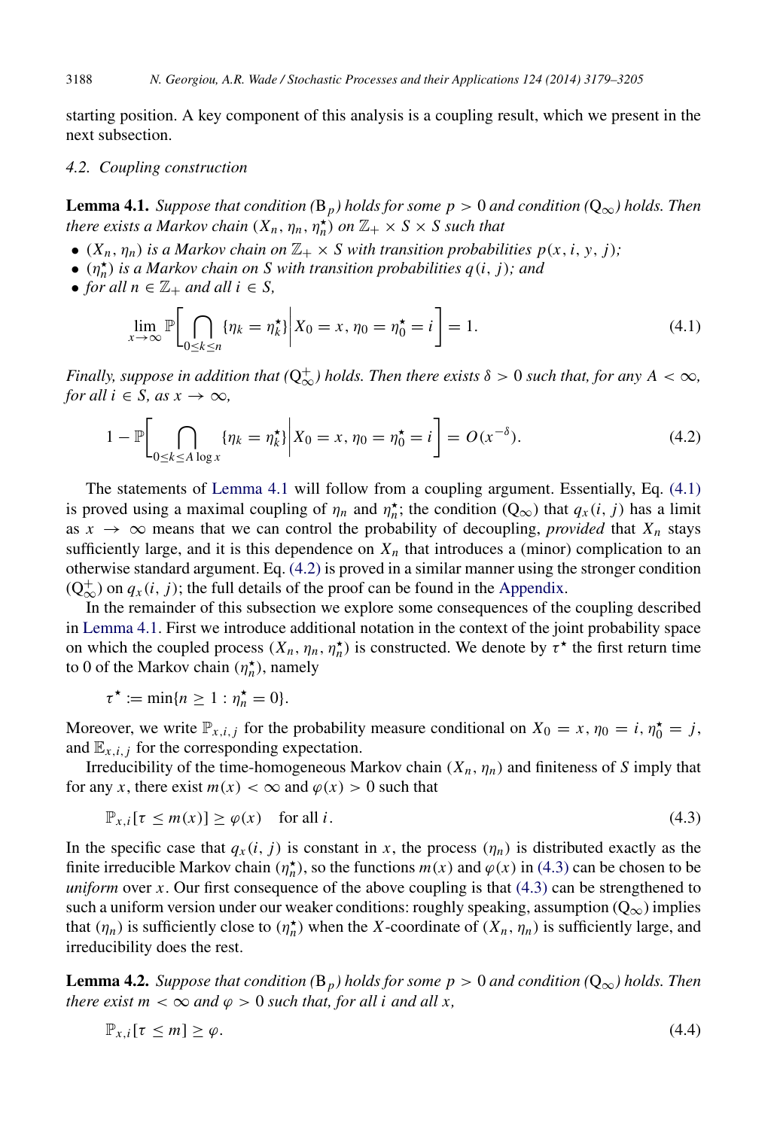starting position. A key component of this analysis is a coupling result, which we present in the next subsection.

#### *4.2. Coupling construction*

<span id="page-10-0"></span>**Lemma 4.1.** *Suppose that condition* ( $B_p$ *) holds for some p* > 0 *and condition* ( $Q_{\infty}$ *) holds. Then there exists a Markov chain*  $(X_n, \eta_n, \eta_n^{\star})$  *on*  $\mathbb{Z}_+ \times S \times S$  *such that* 

- $(X_n, \eta_n)$  *is a Markov chain on*  $\mathbb{Z}_+ \times S$  *with transition probabilities p(x, i, y, j)*;
- $\bullet$   $(n_h^{\star})$  *is a Markov chain on S with transition probabilities*  $q(i, j)$ *; and*
- *for all*  $n \in \mathbb{Z}_+$  *and all*  $i \in S$ *,*

<span id="page-10-2"></span><span id="page-10-1"></span>
$$
\lim_{x \to \infty} \mathbb{P} \bigg[ \bigcap_{0 \le k \le n} \{ \eta_k = \eta_k^{\star} \} \bigg| X_0 = x, \, \eta_0 = \eta_0^{\star} = i \bigg] = 1. \tag{4.1}
$$

*Finally, suppose in addition that* ( $Q_{\infty}^+$ ) *holds. Then there exists*  $\delta > 0$  *such that, for any A* <  $\infty$ , *for all i*  $\in$  *S, as x*  $\rightarrow \infty$ *,* 

$$
1 - \mathbb{P}\bigg[\bigcap_{0 \le k \le A \log x} \{\eta_k = \eta_k^{\star}\}\bigg| X_0 = x, \eta_0 = \eta_0^{\star} = i\bigg] = O(x^{-\delta}).\tag{4.2}
$$

The statements of [Lemma 4.1](#page-10-0) will follow from a coupling argument. Essentially, Eq. [\(4.1\)](#page-10-1) is proved using a maximal coupling of  $\eta_n$  and  $\eta_n^*$ ; the condition  $(Q_\infty)$  that  $q_x(i, j)$  has a limit as  $x \to \infty$  means that we can control the probability of decoupling, *provided* that  $X_n$  stays sufficiently large, and it is this dependence on  $X_n$  that introduces a (minor) complication to an otherwise standard argument. Eq. [\(4.2\)](#page-10-2) is proved in a similar manner using the stronger condition  $(Q^+_{\infty})$  on  $q_x(i, j)$ ; the full details of the proof can be found in the [Appendix.](#page-24-0)

In the remainder of this subsection we explore some consequences of the coupling described in [Lemma 4.1.](#page-10-0) First we introduce additional notation in the context of the joint probability space on which the coupled process  $(X_n, \eta_n, \eta_n^*)$  is constructed. We denote by  $\tau^*$  the first return time to 0 of the Markov chain  $(\eta_n^{\star})$ , namely

$$
\tau^{\star} := \min\{n \geq 1 : \eta_n^{\star} = 0\}.
$$

Moreover, we write  $\mathbb{P}_{x,i,j}$  for the probability measure conditional on  $X_0 = x, \eta_0 = i, \eta_0^* = j$ , and  $\mathbb{E}_{x,i,j}$  for the corresponding expectation.

Irreducibility of the time-homogeneous Markov chain  $(X_n, \eta_n)$  and finiteness of *S* imply that for any *x*, there exist  $m(x) < \infty$  and  $\varphi(x) > 0$  such that

<span id="page-10-3"></span>
$$
\mathbb{P}_{x,i}[\tau \le m(x)] \ge \varphi(x) \quad \text{for all } i. \tag{4.3}
$$

In the specific case that  $q_x(i, j)$  is constant in x, the process  $(\eta_n)$  is distributed exactly as the finite irreducible Markov chain  $(\eta_n^* )$ , so the functions  $m(x)$  and  $\varphi(x)$  in [\(4.3\)](#page-10-3) can be chosen to be *uniform* over *x*. Our first consequence of the above coupling is that [\(4.3\)](#page-10-3) can be strengthened to such a uniform version under our weaker conditions: roughly speaking, assumption  $(Q_{\infty})$  implies that  $(\eta_n)$  is sufficiently close to  $(\eta_n^{\star})$  when the *X*-coordinate of  $(X_n, \eta_n)$  is sufficiently large, and irreducibility does the rest.

**Lemma 4.2.** *Suppose that condition* ( $B_p$ *) holds for some p* > 0 *and condition* ( $Q_{\infty}$ *) holds. Then there exist m*  $< \infty$  *and*  $\varphi > 0$  *such that, for all i and all x,* 

<span id="page-10-5"></span><span id="page-10-4"></span>
$$
\mathbb{P}_{x,i}[\tau \leq m] \geq \varphi. \tag{4.4}
$$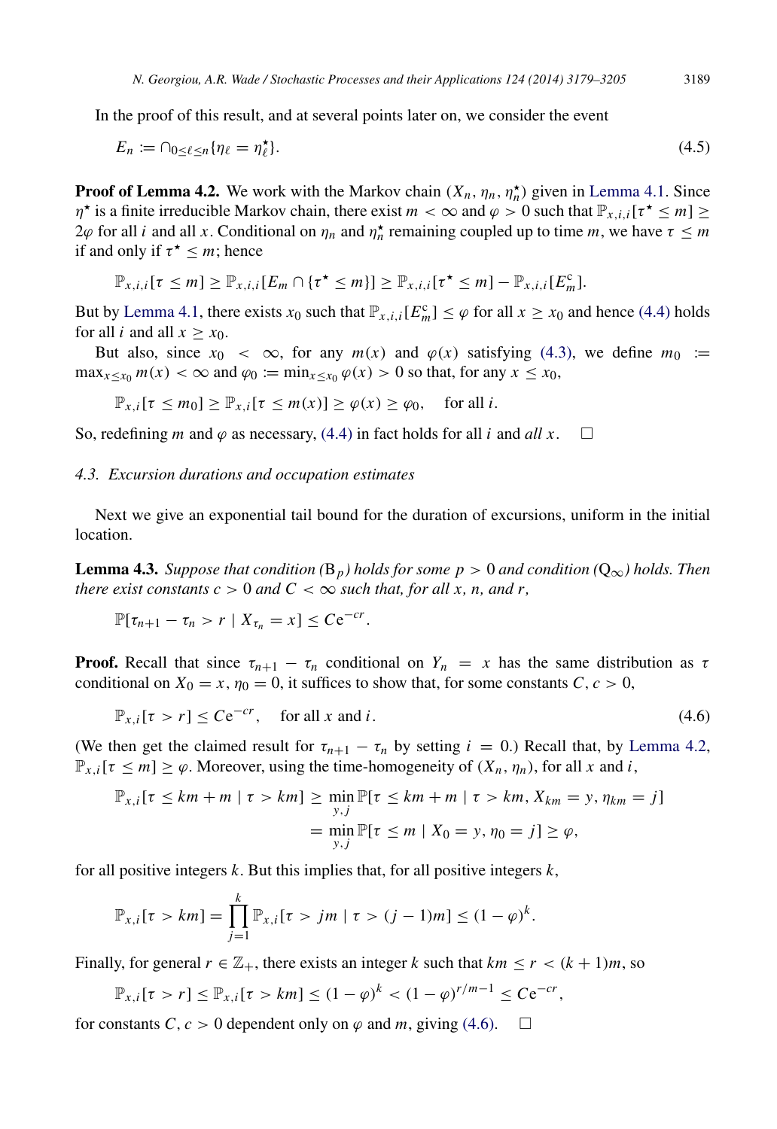In the proof of this result, and at several points later on, we consider the event

<span id="page-11-1"></span>
$$
E_n := \cap_{0 \le \ell \le n} \{ \eta_\ell = \eta_\ell^* \}. \tag{4.5}
$$

**Proof of Lemma 4.2.** We work with the Markov chain  $(X_n, \eta_n, \eta_n^{\star})$  given in [Lemma 4.1.](#page-10-0) Since  $\eta^*$  is a finite irreducible Markov chain, there exist  $m < \infty$  and  $\varphi > 0$  such that  $\mathbb{P}_{x,i,i}[\tau^* \leq m] \geq$ 2*ϕ* for all *i* and all *x*. Conditional on  $η<sub>n</sub>$  and  $η<sup>∗</sup><sub>n</sub>$  remaining coupled up to time *m*, we have  $τ ≤ m$ if and only if  $\tau^* \leq m$ ; hence

$$
\mathbb{P}_{x,i,i}[\tau \leq m] \geq \mathbb{P}_{x,i,i}[E_m \cap {\tau^{\star} \leq m}] \geq \mathbb{P}_{x,i,i}[\tau^{\star} \leq m] - \mathbb{P}_{x,i,i}[E_m^c].
$$

But by [Lemma 4.1,](#page-10-0) there exists  $x_0$  such that  $\mathbb{P}_{x,i,i}[E_m^c] \leq \varphi$  for all  $x \geq x_0$  and hence [\(4.4\)](#page-10-4) holds for all *i* and all  $x \geq x_0$ .

But also, since  $x_0 < \infty$ , for any  $m(x)$  and  $\varphi(x)$  satisfying [\(4.3\),](#page-10-3) we define  $m_0 :=$  $\max_{x \le x_0} m(x) < \infty$  and  $\varphi_0 := \min_{x \le x_0} \varphi(x) > 0$  so that, for any  $x \le x_0$ ,

 $\mathbb{P}_{x,i}[\tau \leq m_0] \geq \mathbb{P}_{x,i}[\tau \leq m(x)] \geq \varphi(x) \geq \varphi_0$ , for all *i*.

So, redefining *m* and  $\varphi$  as necessary, [\(4.4\)](#page-10-4) in fact holds for all *i* and *all x*.  $\square$ 

#### *4.3. Excursion durations and occupation estimates*

Next we give an exponential tail bound for the duration of excursions, uniform in the initial location.

**Lemma 4.3.** *Suppose that condition* ( $B_p$ *) holds for some p* > 0 *and condition* ( $Q_{\infty}$ *) holds. Then there exist constants*  $c > 0$  *and*  $C < \infty$  *such that, for all x, n, and r,* 

<span id="page-11-2"></span>
$$
\mathbb{P}[\tau_{n+1}-\tau_n>r\mid X_{\tau_n}=x]\leq Ce^{-cr}.
$$

**Proof.** Recall that since  $\tau_{n+1} - \tau_n$  conditional on  $Y_n = x$  has the same distribution as  $\tau$ conditional on  $X_0 = x$ ,  $\eta_0 = 0$ , it suffices to show that, for some constants  $C, c > 0$ ,

<span id="page-11-0"></span>
$$
\mathbb{P}_{x,i}[\tau > r] \leq C e^{-cr}, \quad \text{for all } x \text{ and } i. \tag{4.6}
$$

(We then get the claimed result for  $\tau_{n+1} - \tau_n$  by setting  $i = 0$ .) Recall that, by [Lemma 4.2,](#page-10-5)  $\mathbb{P}_{x,i}[\tau \leq m] \geq \varphi$ . Moreover, using the time-homogeneity of  $(X_n, \eta_n)$ , for all *x* and *i*,

$$
\mathbb{P}_{x,i}[\tau \le km + m \mid \tau > km] \ge \min_{y,j} \mathbb{P}[\tau \le km + m \mid \tau > km, X_{km} = y, \eta_{km} = j]
$$

$$
= \min_{y,j} \mathbb{P}[\tau \le m \mid X_0 = y, \eta_0 = j] \ge \varphi,
$$

for all positive integers *k*. But this implies that, for all positive integers *k*,

$$
\mathbb{P}_{x,i}[\tau > km] = \prod_{j=1}^{k} \mathbb{P}_{x,i}[\tau > jm \mid \tau > (j-1)m] \leq (1-\varphi)^{k}.
$$

Finally, for general  $r \in \mathbb{Z}_+$ , there exists an integer k such that  $km \le r < (k+1)m$ , so

$$
\mathbb{P}_{x,i}[\tau > r] \leq \mathbb{P}_{x,i}[\tau > km] \leq (1 - \varphi)^k < (1 - \varphi)^{r/m-1} \leq C e^{-cr},
$$

for constants *C*,  $c > 0$  dependent only on  $\varphi$  and *m*, giving [\(4.6\).](#page-11-0)  $\Box$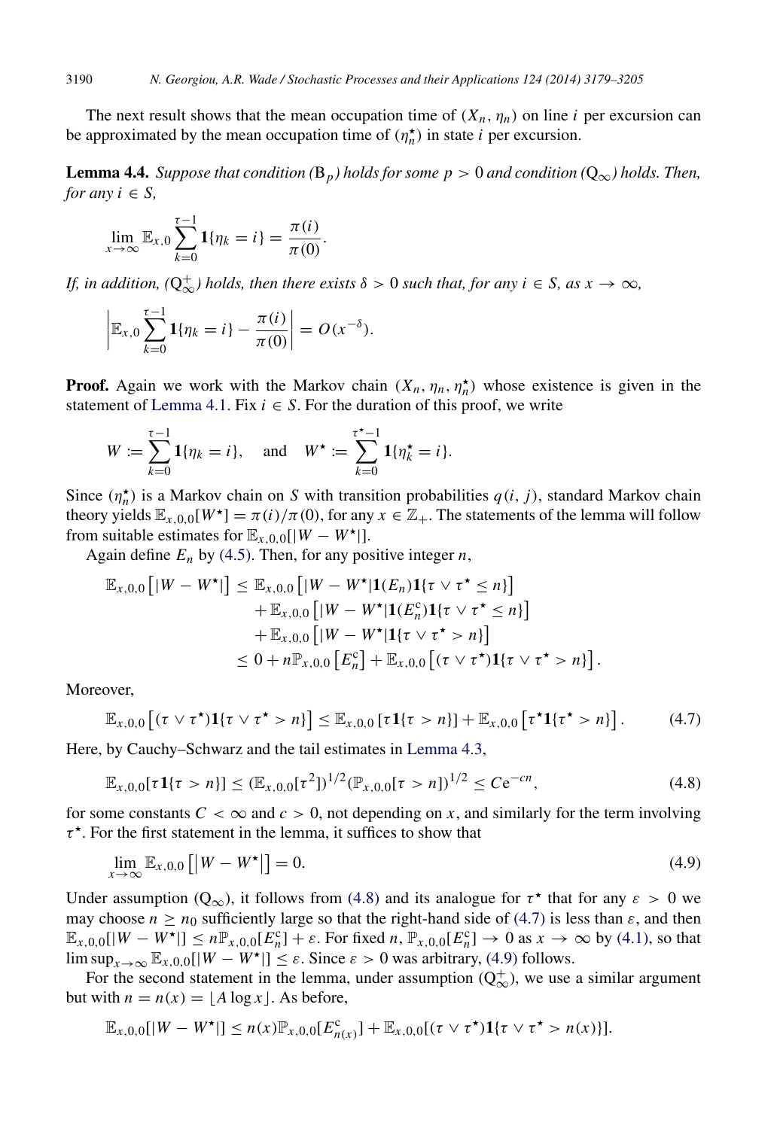The next result shows that the mean occupation time of  $(X_n, \eta_n)$  on line *i* per excursion can be approximated by the mean occupation time of  $(\eta_n^{\star})$  in state *i* per excursion.

**Lemma 4.4.** *Suppose that condition* ( $B_p$ ) *holds for some p* > 0 *and condition* ( $Q_\infty$ ) *holds. Then, for any*  $i \in S$ ,

<span id="page-12-3"></span>
$$
\lim_{x\to\infty}\mathbb{E}_{x,0}\sum_{k=0}^{\tau-1}\mathbf{1}\{\eta_k=i\}=\frac{\pi(i)}{\pi(0)}.
$$

*If, in addition,*  $(Q^+_{\infty})$  *holds, then there exists*  $\delta > 0$  *such that, for any i*  $\in$  *S, as x*  $\rightarrow \infty$ *,* 

$$
\left| \mathbb{E}_{x,0} \sum_{k=0}^{\tau-1} \mathbf{1}{\{\eta_k = i\}} - \frac{\pi(i)}{\pi(0)} \right| = O(x^{-\delta}).
$$

**Proof.** Again we work with the Markov chain  $(X_n, \eta_n, \eta_n^{\star})$  whose existence is given in the statement of [Lemma 4.1.](#page-10-0) Fix  $i \in S$ . For the duration of this proof, we write

$$
W := \sum_{k=0}^{\tau-1} \mathbf{1}{\eta_k = i}, \text{ and } W^{\star} := \sum_{k=0}^{\tau^{\star}-1} \mathbf{1}{\{\eta_k^{\star} = i\}}.
$$

Since  $(\eta_n^{\star})$  is a Markov chain on *S* with transition probabilities  $q(i, j)$ , standard Markov chain theory yields  $\mathbb{E}_{x,0,0}[W^{\star}] = \pi(i)/\pi(0)$ , for any  $x \in \mathbb{Z}_+$ . The statements of the lemma will follow from suitable estimates for  $\mathbb{E}_{x,0,0}[|W - W^{\star}|]$ .

Again define  $E_n$  by [\(4.5\).](#page-11-1) Then, for any positive integer *n*,

$$
\mathbb{E}_{x,0,0} [|W - W^{\star}|] \leq \mathbb{E}_{x,0,0} [|W - W^{\star}| \mathbf{1}(E_n) \mathbf{1}\{\tau \vee \tau^{\star} \leq n\}] \n+ \mathbb{E}_{x,0,0} [|W - W^{\star}| \mathbf{1}(E_n^c) \mathbf{1}\{\tau \vee \tau^{\star} \leq n\}] \n+ \mathbb{E}_{x,0,0} [|W - W^{\star}| \mathbf{1}\{\tau \vee \tau^{\star} > n\}] \n\leq 0 + n \mathbb{P}_{x,0,0} [E_n^c] + \mathbb{E}_{x,0,0} [(\tau \vee \tau^{\star}) \mathbf{1}\{\tau \vee \tau^{\star} > n\}].
$$

Moreover,

<span id="page-12-1"></span>
$$
\mathbb{E}_{x,0,0}\left[(\tau\vee\tau^{\star})\mathbf{1}\{\tau\vee\tau^{\star}>n\}\right]\leq\mathbb{E}_{x,0,0}\left[\tau\mathbf{1}\{\tau>n\}\right]+\mathbb{E}_{x,0,0}\left[\tau^{\star}\mathbf{1}\{\tau^{\star}>n\}\right].\tag{4.7}
$$

Here, by Cauchy–Schwarz and the tail estimates in [Lemma 4.3,](#page-11-2)

<span id="page-12-0"></span>
$$
\mathbb{E}_{x,0,0}[\tau \mathbf{1}\{\tau > n\}] \le (\mathbb{E}_{x,0,0}[\tau^2])^{1/2} (\mathbb{P}_{x,0,0}[\tau > n])^{1/2} \le C e^{-cn}, \tag{4.8}
$$

for some constants  $C < \infty$  and  $c > 0$ , not depending on x, and similarly for the term involving  $\tau^*$ . For the first statement in the lemma, it suffices to show that

<span id="page-12-2"></span>
$$
\lim_{x \to \infty} \mathbb{E}_{x,0,0} [|W - W^{\star}|] = 0. \tag{4.9}
$$

Under assumption ( $Q_{\infty}$ ), it follows from [\(4.8\)](#page-12-0) and its analogue for  $\tau^*$  that for any  $\varepsilon > 0$  we may choose  $n \ge n_0$  sufficiently large so that the right-hand side of [\(4.7\)](#page-12-1) is less than  $\varepsilon$ , and then  $\mathbb{E}_{x,0,0}[|W - W^{\star}|] \le n \mathbb{P}_{x,0,0}[E_n^c] + \varepsilon$ . For fixed *n*,  $\mathbb{P}_{x,0,0}[E_n^c] \to 0$  as  $x \to \infty$  by [\(4.1\),](#page-10-1) so that lim  $\sup_{x\to\infty}$   $\mathbb{E}_{x,0,0}[|W - W^{\star}|] \leq \varepsilon$ . Since  $\varepsilon > 0$  was arbitrary, [\(4.9\)](#page-12-2) follows.

For the second statement in the lemma, under assumption  $(Q^+_{\infty})$ , we use a similar argument but with  $n = n(x) = \lfloor A \log x \rfloor$ . As before,

$$
\mathbb{E}_{x,0,0}[|W - W^{\star}|] \le n(x)\mathbb{P}_{x,0,0}[E_{n(x)}^c] + \mathbb{E}_{x,0,0}[(\tau \vee \tau^{\star})\mathbf{1}\{\tau \vee \tau^{\star} > n(x)\}].
$$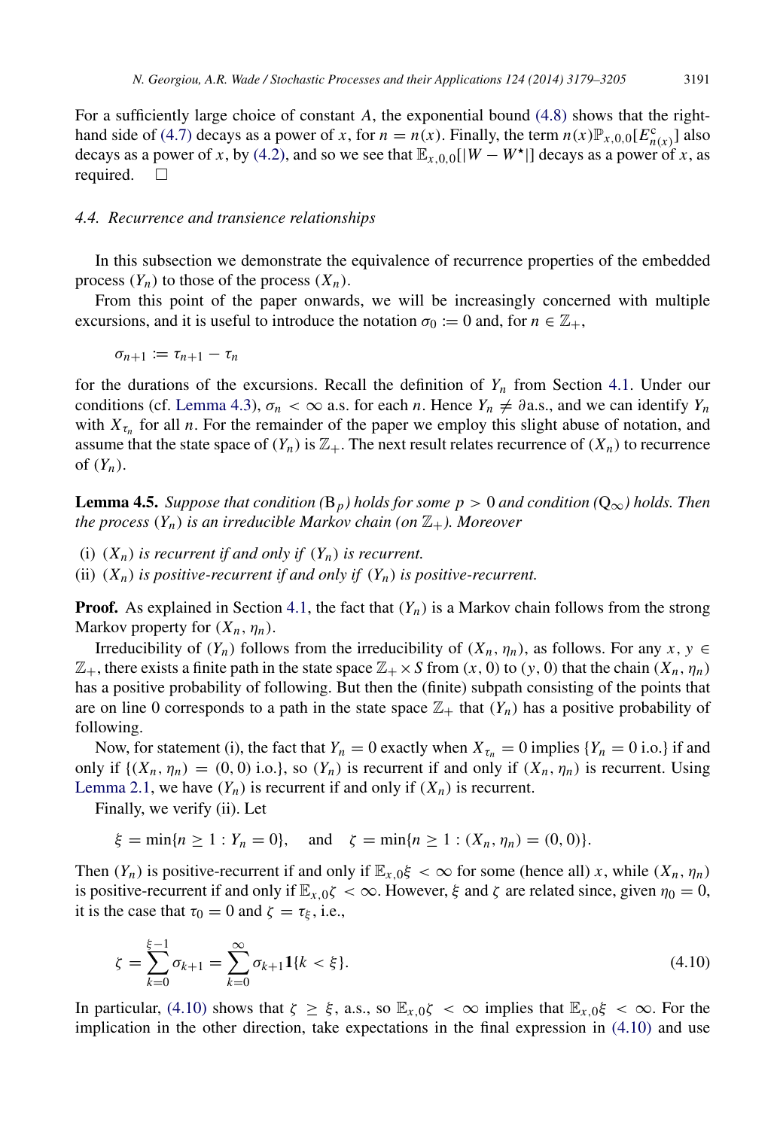For a sufficiently large choice of constant *A*, the exponential bound [\(4.8\)](#page-12-0) shows that the right-hand side of [\(4.7\)](#page-12-1) decays as a power of *x*, for  $n = n(x)$ . Finally, the term  $n(x) \mathbb{P}_{x,0,0}[E_{n(x)}^c]$  also decays as a power of *x*, by [\(4.2\),](#page-10-2) and so we see that  $\mathbb{E}_{x,0,0}[|W - W^*|]$  decays as a power of *x*, as required.  $\square$ 

#### <span id="page-13-1"></span>*4.4. Recurrence and transience relationships*

In this subsection we demonstrate the equivalence of recurrence properties of the embedded process  $(Y_n)$  to those of the process  $(X_n)$ .

From this point of the paper onwards, we will be increasingly concerned with multiple excursions, and it is useful to introduce the notation  $\sigma_0 := 0$  and, for  $n \in \mathbb{Z}_+$ ,

$$
\sigma_{n+1}:=\tau_{n+1}-\tau_n
$$

for the durations of the excursions. Recall the definition of  $Y_n$  from Section [4.1.](#page-9-2) Under our conditions (cf. [Lemma 4.3\)](#page-11-2),  $\sigma_n < \infty$  a.s. for each *n*. Hence  $Y_n \neq \partial$  a.s., and we can identify  $Y_n$ with  $X_{\tau_n}$  for all *n*. For the remainder of the paper we employ this slight abuse of notation, and assume that the state space of  $(Y_n)$  is  $\mathbb{Z}_+$ . The next result relates recurrence of  $(X_n)$  to recurrence of  $(Y_n)$ .

<span id="page-13-2"></span>**Lemma 4.5.** *Suppose that condition* ( $B_p$ *) holds for some p* > 0 *and condition* ( $Q_{\infty}$ *) holds. Then the process*  $(Y_n)$  *is an irreducible Markov chain (on*  $\mathbb{Z}_+$ *). Moreover* 

(i)  $(X_n)$  *is recurrent if and only if*  $(Y_n)$  *is recurrent.* 

(ii)  $(X_n)$  *is positive-recurrent if and only if*  $(Y_n)$  *is positive-recurrent.* 

**Proof.** As explained in Section [4.1,](#page-9-2) the fact that  $(Y_n)$  is a Markov chain follows from the strong Markov property for  $(X_n, \eta_n)$ .

Irreducibility of  $(Y_n)$  follows from the irreducibility of  $(X_n, \eta_n)$ , as follows. For any  $x, y \in$  $\mathbb{Z}_+$ , there exists a finite path in the state space  $\mathbb{Z}_+ \times S$  from  $(x, 0)$  to  $(y, 0)$  that the chain  $(X_n, \eta_n)$ has a positive probability of following. But then the (finite) subpath consisting of the points that are on line 0 corresponds to a path in the state space  $\mathbb{Z}_+$  that  $(Y_n)$  has a positive probability of following.

Now, for statement (i), the fact that  $Y_n = 0$  exactly when  $X_{\tau_n} = 0$  implies  $\{Y_n = 0 \text{ i.o.}\}\$ if and only if  $\{(X_n, \eta_n) = (0, 0) \text{ i.o.}\}$ , so  $(Y_n)$  is recurrent if and only if  $(X_n, \eta_n)$  is recurrent. Using [Lemma 2.1,](#page-3-0) we have  $(Y_n)$  is recurrent if and only if  $(X_n)$  is recurrent.

Finally, we verify (ii). Let

 $\xi = \min\{n \ge 1 : Y_n = 0\}$ , and  $\zeta = \min\{n \ge 1 : (X_n, \eta_n) = (0, 0)\}.$ 

Then  $(Y_n)$  is positive-recurrent if and only if  $\mathbb{E}_{x,0}\xi < \infty$  for some (hence all) *x*, while  $(X_n, \eta_n)$ is positive-recurrent if and only if  $\mathbb{E}_{x,0\zeta} < \infty$ . However,  $\xi$  and  $\zeta$  are related since, given  $\eta_0 = 0$ , it is the case that  $\tau_0 = 0$  and  $\zeta = \tau_{\xi}$ , i.e.,

<span id="page-13-0"></span>
$$
\zeta = \sum_{k=0}^{\xi - 1} \sigma_{k+1} = \sum_{k=0}^{\infty} \sigma_{k+1} \mathbf{1} \{k < \xi\}. \tag{4.10}
$$

In particular, [\(4.10\)](#page-13-0) shows that  $\zeta \geq \xi$ , a.s., so  $\mathbb{E}_{x,0}\zeta < \infty$  implies that  $\mathbb{E}_{x,0}\xi < \infty$ . For the implication in the other direction, take expectations in the final expression in [\(4.10\)](#page-13-0) and use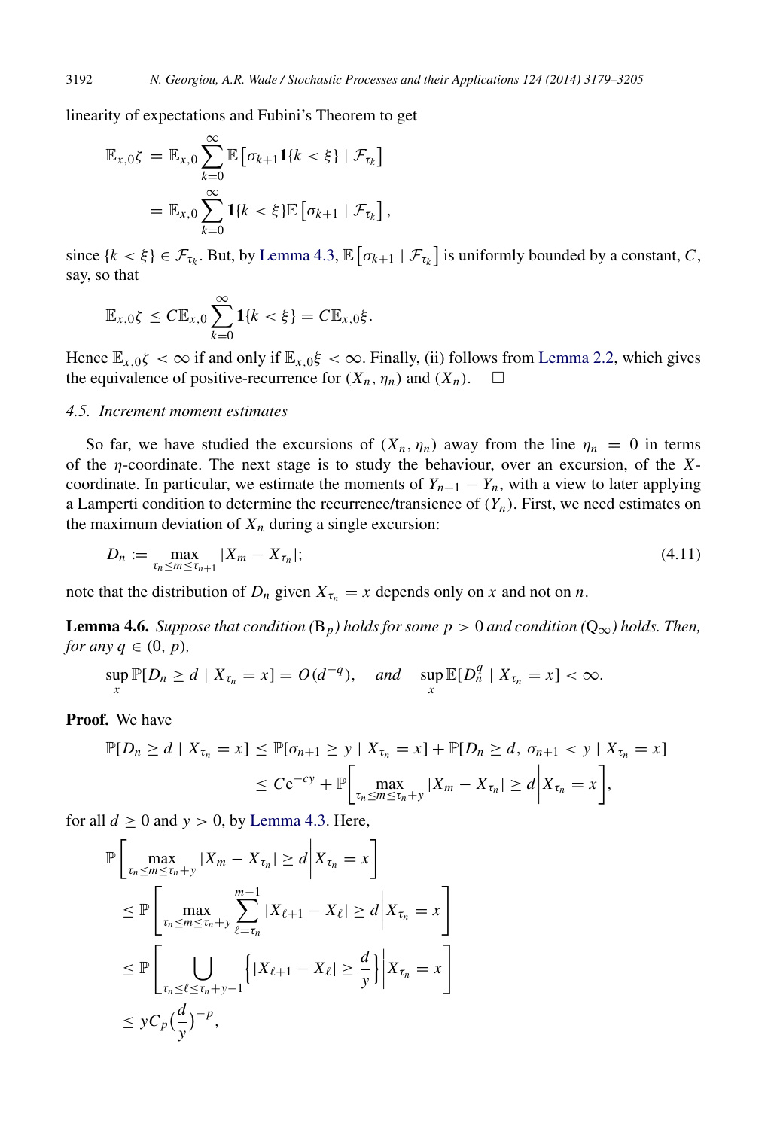linearity of expectations and Fubini's Theorem to get

$$
\mathbb{E}_{x,0}\zeta = \mathbb{E}_{x,0}\sum_{k=0}^{\infty}\mathbb{E}\left[\sigma_{k+1}\mathbf{1}\{k<\xi\} \mid \mathcal{F}_{\tau_k}\right]
$$

$$
= \mathbb{E}_{x,0}\sum_{k=0}^{\infty}\mathbf{1}\{k<\xi\}\mathbb{E}\left[\sigma_{k+1} \mid \mathcal{F}_{\tau_k}\right],
$$

since  $\{k < \xi\} \in \mathcal{F}_{\tau_k}$ . But, by [Lemma 4.3,](#page-11-2)  $\mathbb{E}[\sigma_{k+1} | \mathcal{F}_{\tau_k}]$  is uniformly bounded by a constant, *C*, say, so that

$$
\mathbb{E}_{x,0}\zeta \leq C\mathbb{E}_{x,0}\sum_{k=0}^{\infty}\mathbf{1}\{k < \xi\} = C\mathbb{E}_{x,0}\xi.
$$

Hence  $\mathbb{E}_{x,0\zeta} < \infty$  if and only if  $\mathbb{E}_{x,0\zeta} < \infty$ . Finally, (ii) follows from [Lemma 2.2,](#page-3-1) which gives the equivalence of positive-recurrence for  $(X_n, \eta_n)$  and  $(X_n)$ .  $\Box$ 

#### <span id="page-14-2"></span>*4.5. Increment moment estimates*

So far, we have studied the excursions of  $(X_n, \eta_n)$  away from the line  $\eta_n = 0$  in terms of the η-coordinate. The next stage is to study the behaviour, over an excursion, of the *X*coordinate. In particular, we estimate the moments of  $Y_{n+1} - Y_n$ , with a view to later applying a Lamperti condition to determine the recurrence/transience of  $(Y_n)$ . First, we need estimates on the maximum deviation of  $X_n$  during a single excursion:

<span id="page-14-0"></span>
$$
D_n := \max_{\tau_n \le m \le \tau_{n+1}} |X_m - X_{\tau_n}|; \tag{4.11}
$$

note that the distribution of  $D_n$  given  $X_{\tau_n} = x$  depends only on x and not on n.

**Lemma 4.6.** *Suppose that condition* ( $B_p$ *) holds for some p* > 0 *and condition* ( $Q_\infty$ *) holds. Then, for any*  $q \in (0, p)$ *,* 

<span id="page-14-1"></span>
$$
\sup_{x} \mathbb{P}[D_n \ge d \mid X_{\tau_n} = x] = O(d^{-q}), \quad \text{and} \quad \sup_{x} \mathbb{E}[D_n^q \mid X_{\tau_n} = x] < \infty.
$$

Proof. We have

$$
\mathbb{P}[D_n \ge d \mid X_{\tau_n} = x] \le \mathbb{P}[\sigma_{n+1} \ge y \mid X_{\tau_n} = x] + \mathbb{P}[D_n \ge d, \sigma_{n+1} < y \mid X_{\tau_n} = x] \\
\le C e^{-cy} + \mathbb{P}\bigg[\max_{\tau_n \le m \le \tau_n + y} |X_m - X_{\tau_n}| \ge d \bigg| X_{\tau_n} = x\bigg],
$$

for all  $d \ge 0$  and  $y > 0$ , by [Lemma 4.3.](#page-11-2) Here,

$$
\mathbb{P}\left[\max_{\tau_n \leq m \leq \tau_n + y} |X_m - X_{\tau_n}| \geq d \middle| X_{\tau_n} = x \right]
$$
\n
$$
\leq \mathbb{P}\left[\max_{\tau_n \leq m \leq \tau_n + y} \sum_{\ell = \tau_n}^{m-1} |X_{\ell+1} - X_{\ell}| \geq d \middle| X_{\tau_n} = x \right]
$$
\n
$$
\leq \mathbb{P}\left[\bigcup_{\tau_n \leq \ell \leq \tau_n + y - 1} \left\{ |X_{\ell+1} - X_{\ell}| \geq \frac{d}{y} \right\} \middle| X_{\tau_n} = x \right]
$$
\n
$$
\leq y C_p \left(\frac{d}{y}\right)^{-p},
$$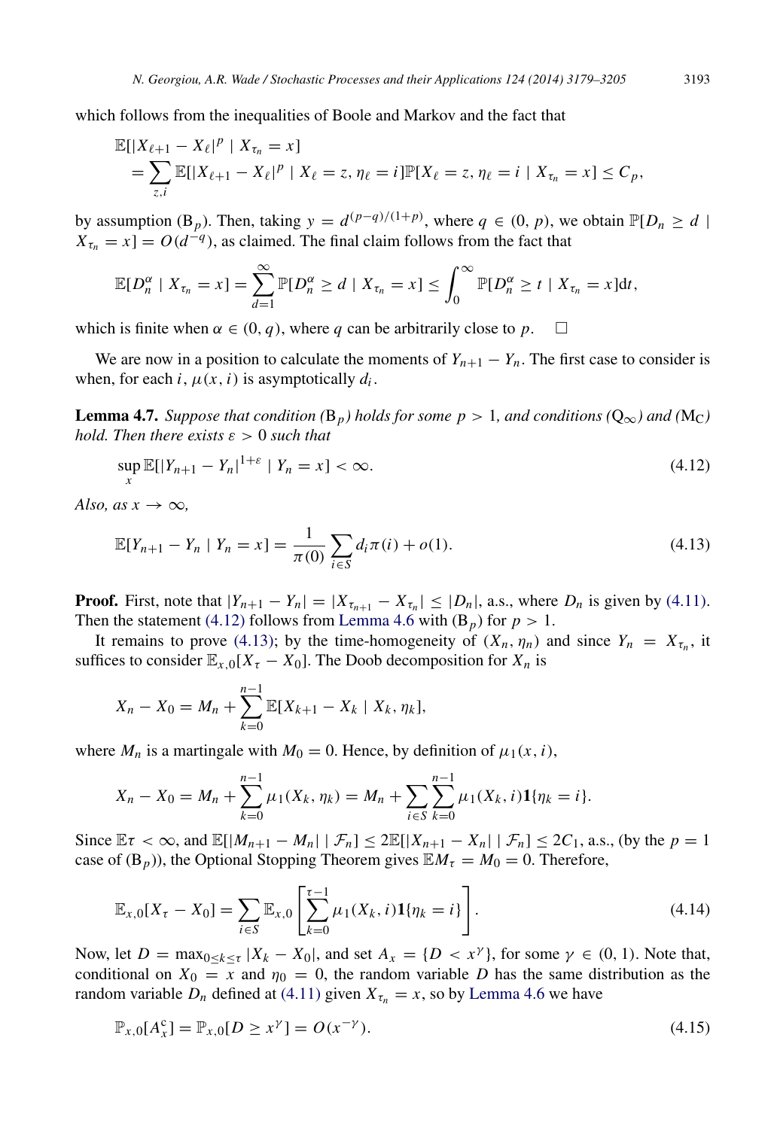$$
\mathbb{E}[|X_{\ell+1} - X_{\ell}|^p | X_{\tau_n} = x]
$$
  
=  $\sum_{z,i} \mathbb{E}[|X_{\ell+1} - X_{\ell}|^p | X_{\ell} = z, \eta_{\ell} = i] \mathbb{P}[X_{\ell} = z, \eta_{\ell} = i | X_{\tau_n} = x] \le C_p$ ,

by assumption (B<sub>*p*</sub>). Then, taking  $y = d^{(p-q)/(1+p)}$ , where  $q \in (0, p)$ , we obtain  $\mathbb{P}[D_n \ge d]$  $X_{\tau_n} = x$ ] =  $O(d^{-q})$ , as claimed. The final claim follows from the fact that

$$
\mathbb{E}[D_n^{\alpha} \mid X_{\tau_n} = x] = \sum_{d=1}^{\infty} \mathbb{P}[D_n^{\alpha} \geq d \mid X_{\tau_n} = x] \leq \int_0^{\infty} \mathbb{P}[D_n^{\alpha} \geq t \mid X_{\tau_n} = x]dt,
$$

which is finite when  $\alpha \in (0, q)$ , where q can be arbitrarily close to p.  $\square$ 

We are now in a position to calculate the moments of  $Y_{n+1} - Y_n$ . The first case to consider is when, for each *i*,  $\mu(x, i)$  is asymptotically  $d_i$ .

**Lemma 4.7.** *Suppose that condition* ( $B_p$ *) holds for some p* > 1*, and conditions* ( $Q_\infty$ *) and* ( $M_C$ *) hold. Then there exists*  $\varepsilon > 0$  *such that* 

<span id="page-15-4"></span><span id="page-15-0"></span>
$$
\sup_{x} \mathbb{E}[|Y_{n+1} - Y_n|^{1+\varepsilon} \mid Y_n = x] < \infty. \tag{4.12}
$$

*Also, as x*  $\rightarrow \infty$ *,* 

<span id="page-15-1"></span>
$$
\mathbb{E}[Y_{n+1} - Y_n \mid Y_n = x] = \frac{1}{\pi(0)} \sum_{i \in S} d_i \pi(i) + o(1).
$$
 (4.13)

**Proof.** First, note that  $|Y_{n+1} - Y_n| = |X_{\tau_{n+1}} - X_{\tau_n}| \leq |D_n|$ , a.s., where  $D_n$  is given by [\(4.11\).](#page-14-0) Then the statement [\(4.12\)](#page-15-0) follows from [Lemma 4.6](#page-14-1) with  $(B_p)$  for  $p > 1$ .

It remains to prove [\(4.13\);](#page-15-1) by the time-homogeneity of  $(X_n, \eta_n)$  and since  $Y_n = X_{\tau_n}$ , it suffices to consider  $\mathbb{E}_{x,0}[X_\tau - X_0]$ . The Doob decomposition for  $X_n$  is

$$
X_n - X_0 = M_n + \sum_{k=0}^{n-1} \mathbb{E}[X_{k+1} - X_k \mid X_k, \eta_k],
$$

where  $M_n$  is a martingale with  $M_0 = 0$ . Hence, by definition of  $\mu_1(x, i)$ ,

$$
X_n - X_0 = M_n + \sum_{k=0}^{n-1} \mu_1(X_k, \eta_k) = M_n + \sum_{i \in S} \sum_{k=0}^{n-1} \mu_1(X_k, i) \mathbf{1}{\eta_k = i}.
$$

Since  $\mathbb{E}\tau < \infty$ , and  $\mathbb{E}[|M_{n+1} - M_n| \mid \mathcal{F}_n] \leq 2\mathbb{E}[|X_{n+1} - X_n| \mid \mathcal{F}_n] \leq 2C_1$ , a.s., (by the  $p = 1$ case of  $(B_p)$ ), the Optional Stopping Theorem gives  $\mathbb{E}M_\tau = M_0 = 0$ . Therefore,

<span id="page-15-3"></span>
$$
\mathbb{E}_{x,0}[X_{\tau}-X_0]=\sum_{i\in S}\mathbb{E}_{x,0}\left[\sum_{k=0}^{\tau-1}\mu_1(X_k,i)\mathbf{1}\{\eta_k=i\}\right].\tag{4.14}
$$

Now, let  $D = \max_{0 \le k \le \tau} |X_k - X_0|$ , and set  $A_x = \{D < x^\gamma\}$ , for some  $\gamma \in (0, 1)$ . Note that, conditional on  $X_0 = x$  and  $\eta_0 = 0$ , the random variable *D* has the same distribution as the random variable  $D_n$  defined at [\(4.11\)](#page-14-0) given  $X_{\tau_n} = x$ , so by [Lemma 4.6](#page-14-1) we have

<span id="page-15-2"></span>
$$
\mathbb{P}_{x,0}[A_x^c] = \mathbb{P}_{x,0}[D \ge x^{\gamma}] = O(x^{-\gamma}).\tag{4.15}
$$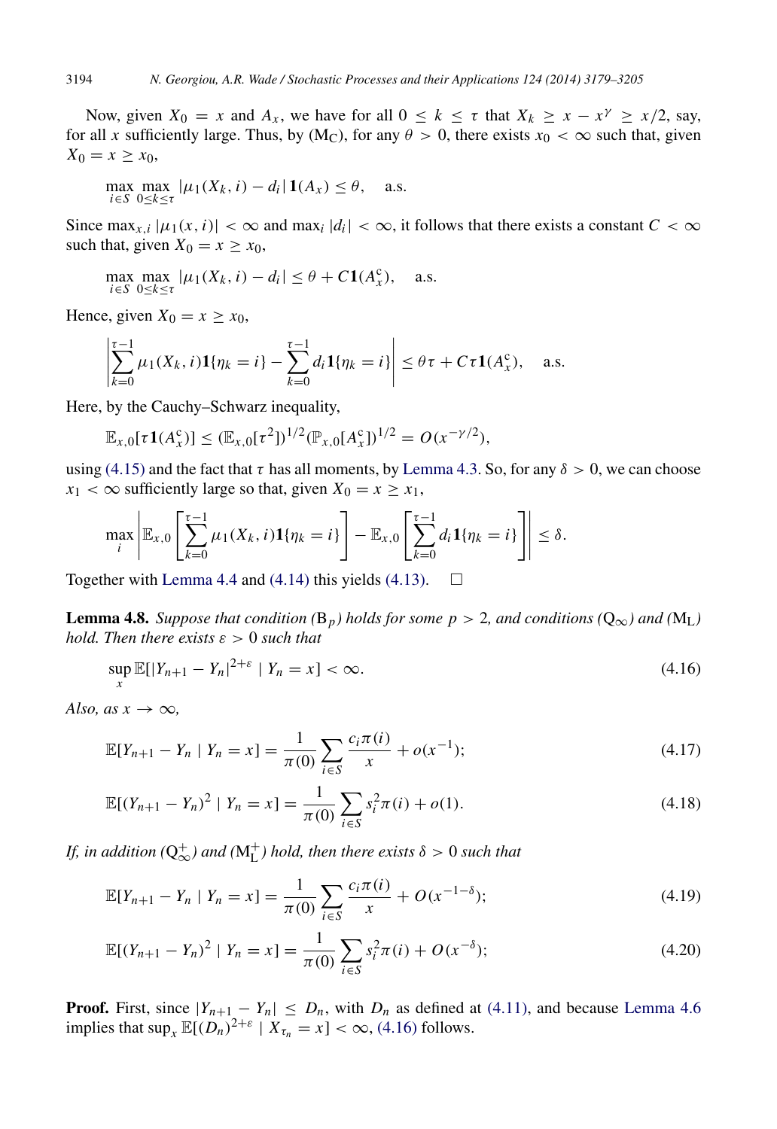Now, given  $X_0 = x$  and  $A_x$ , we have for all  $0 \le k \le \tau$  that  $X_k \ge x - x^{\gamma} \ge x/2$ , say, for all *x* sufficiently large. Thus, by  $(M_C)$ , for any  $\theta > 0$ , there exists  $x_0 < \infty$  such that, given  $X_0 = x \geq x_0$ ,

$$
\max_{i \in S} \max_{0 \le k \le \tau} |\mu_1(X_k, i) - d_i| \mathbf{1}(A_x) \le \theta, \quad \text{a.s.}
$$

Since  $\max_{x,i} |\mu_1(x,i)| < \infty$  and  $\max_i |d_i| < \infty$ , it follows that there exists a constant  $C < \infty$ such that, given  $X_0 = x \geq x_0$ ,

$$
\max_{i \in S} \max_{0 \le k \le \tau} |\mu_1(X_k, i) - d_i| \le \theta + C \mathbf{1}(A_x^c), \quad \text{a.s.}
$$

Hence, given  $X_0 = x \geq x_0$ ,

$$
\left|\sum_{k=0}^{\tau-1} \mu_1(X_k, i)\mathbf{1}\{\eta_k = i\} - \sum_{k=0}^{\tau-1} d_i \mathbf{1}\{\eta_k = i\}\right| \leq \theta\tau + C\tau \mathbf{1}(A_x^c), \quad \text{a.s.}
$$

Here, by the Cauchy–Schwarz inequality,

$$
\mathbb{E}_{x,0}[\tau \mathbf{1}(A_x^c)] \leq (\mathbb{E}_{x,0}[\tau^2])^{1/2} (\mathbb{P}_{x,0}[A_x^c])^{1/2} = O(x^{-\gamma/2}),
$$

using [\(4.15\)](#page-15-2) and the fact that  $\tau$  has all moments, by [Lemma 4.3.](#page-11-2) So, for any  $\delta > 0$ , we can choose  $x_1 < \infty$  sufficiently large so that, given  $X_0 = x \geq x_1$ ,

$$
\max_i \left| \mathbb{E}_{x,0} \left[ \sum_{k=0}^{\tau-1} \mu_1(X_k,i) \mathbf{1}\{\eta_k = i\} \right] - \mathbb{E}_{x,0} \left[ \sum_{k=0}^{\tau-1} d_i \mathbf{1}\{\eta_k = i\} \right] \right| \le \delta.
$$

Together with [Lemma 4.4](#page-12-3) and [\(4.14\)](#page-15-3) this yields [\(4.13\).](#page-15-1)  $\Box$ 

**Lemma 4.8.** Suppose that condition (B<sub>p</sub>) holds for some  $p > 2$ , and conditions (Q<sub>∞</sub>) and (M<sub>L</sub>) *hold. Then there exists*  $\varepsilon > 0$  *such that* 

<span id="page-16-5"></span><span id="page-16-0"></span>
$$
\sup_{x} \mathbb{E}[|Y_{n+1} - Y_n|^{2+\varepsilon} \mid Y_n = x] < \infty. \tag{4.16}
$$

*Also, as x*  $\rightarrow \infty$ *,* 

<span id="page-16-1"></span>
$$
\mathbb{E}[Y_{n+1} - Y_n \mid Y_n = x] = \frac{1}{\pi(0)} \sum_{i \in S} \frac{c_i \pi(i)}{x} + o(x^{-1}); \tag{4.17}
$$

<span id="page-16-2"></span>
$$
\mathbb{E}[(Y_{n+1} - Y_n)^2 \mid Y_n = x] = \frac{1}{\pi(0)} \sum_{i \in S} s_i^2 \pi(i) + o(1).
$$
 (4.18)

*If, in addition* ( $Q_{\infty}^{+}$ ) and ( $M_{L}^{+}$ ) hold, then there exists  $\delta > 0$  such that

<span id="page-16-4"></span><span id="page-16-3"></span>
$$
\mathbb{E}[Y_{n+1} - Y_n \mid Y_n = x] = \frac{1}{\pi(0)} \sum_{i \in S} \frac{c_i \pi(i)}{x} + O(x^{-1-\delta});\tag{4.19}
$$

$$
\mathbb{E}[(Y_{n+1} - Y_n)^2 \mid Y_n = x] = \frac{1}{\pi(0)} \sum_{i \in S} s_i^2 \pi(i) + O(x^{-\delta}); \tag{4.20}
$$

**Proof.** First, since  $|Y_{n+1} - Y_n| \leq D_n$ , with  $D_n$  as defined at [\(4.11\),](#page-14-0) and because [Lemma 4.6](#page-14-1) implies that  $\sup_x \mathbb{E}[(D_n)^{2+\varepsilon} | X_{\tau_n} = x] < \infty$ , [\(4.16\)](#page-16-0) follows.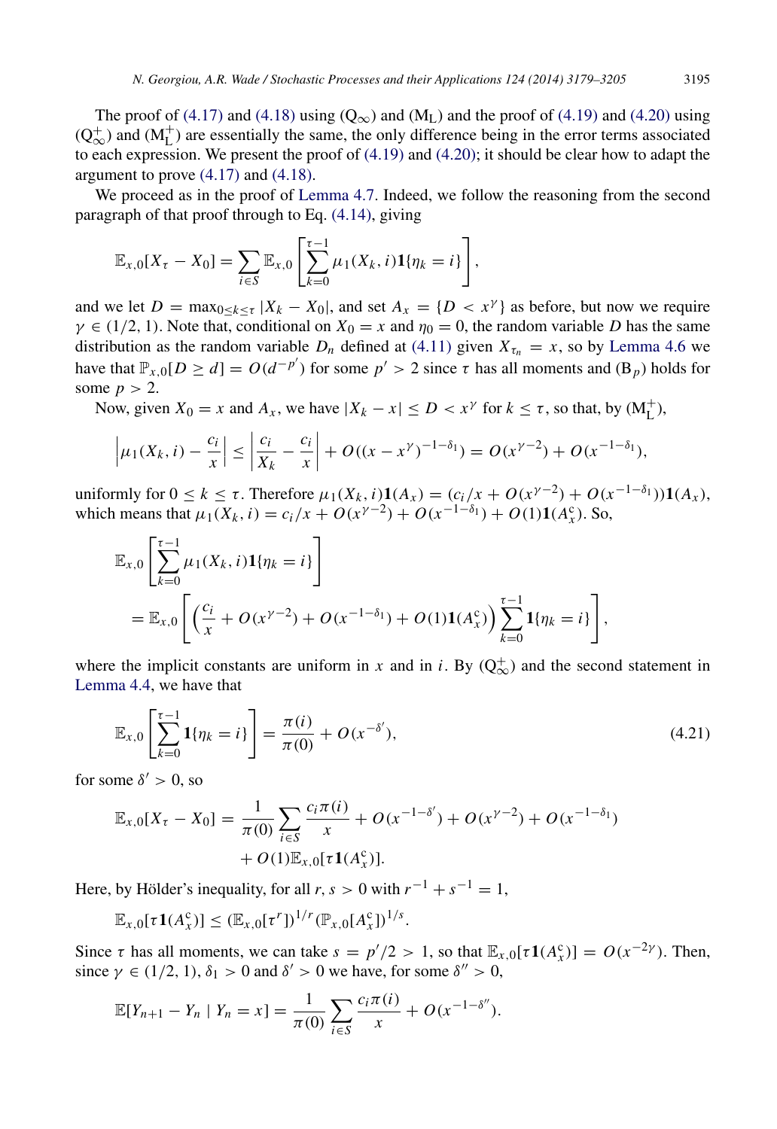The proof of [\(4.17\)](#page-16-1) and [\(4.18\)](#page-16-2) using ( $Q_{\infty}$ ) and (M<sub>L</sub>) and the proof of [\(4.19\)](#page-16-3) and [\(4.20\)](#page-16-4) using  $(Q_{\infty}^+)$  and  $(M_L^+)$  are essentially the same, the only difference being in the error terms associated to each expression. We present the proof of  $(4.19)$  and  $(4.20)$ ; it should be clear how to adapt the argument to prove [\(4.17\)](#page-16-1) and [\(4.18\).](#page-16-2)

We proceed as in the proof of [Lemma 4.7.](#page-15-4) Indeed, we follow the reasoning from the second paragraph of that proof through to Eq. [\(4.14\),](#page-15-3) giving

$$
\mathbb{E}_{x,0}[X_{\tau}-X_0]=\sum_{i\in S}\mathbb{E}_{x,0}\left[\sum_{k=0}^{\tau-1}\mu_1(X_k,i)\mathbf{1}\{\eta_k=i\}\right],
$$

and we let  $D = \max_{0 \le k \le \tau} |X_k - X_0|$ , and set  $A_x = \{D < x^\gamma\}$  as before, but now we require  $\gamma \in (1/2, 1)$ . Note that, conditional on  $X_0 = x$  and  $\eta_0 = 0$ , the random variable *D* has the same distribution as the random variable  $D_n$  defined at [\(4.11\)](#page-14-0) given  $X_{\tau_n} = x$ , so by [Lemma 4.6](#page-14-1) we have that  $\mathbb{P}_{x,0}[D \ge d] = O(d^{-p'})$  for some  $p' > 2$  since  $\tau$  has all moments and  $(\mathbb{B}_p)$  holds for some  $p > 2$ .

Now, given  $X_0 = x$  and  $A_x$ , we have  $|X_k - x| \le D < x^{\gamma}$  for  $k \le \tau$ , so that, by  $(M_L^+)$ ,

$$
\left|\mu_1(X_k, i) - \frac{c_i}{x}\right| \le \left|\frac{c_i}{X_k} - \frac{c_i}{x}\right| + O((x - x^{\gamma})^{-1-\delta_1}) = O(x^{\gamma-2}) + O(x^{-1-\delta_1}),
$$

uniformly for  $0 \le k \le \tau$ . Therefore  $\mu_1(X_k, i)1(A_x) = (c_i/x + O(x^{\gamma-2}) + O(x^{-1-\delta_1}))1(A_x)$ , which means that  $\mu_1(X_k, i) = c_i / x + O(x^{\gamma - 2}) + O(x^{-1 - \delta_1}) + O(1) \mathbf{1}(A_x^c)$ . So,

$$
\mathbb{E}_{x,0}\left[\sum_{k=0}^{\tau-1} \mu_1(X_k,i)\mathbf{1}\{\eta_k=i\}\right]
$$
  
= 
$$
\mathbb{E}_{x,0}\left[\left(\frac{c_i}{x}+O(x^{\gamma-2})+O(x^{-1-\delta_1})+O(1)\mathbf{1}(A_x^c)\right)\sum_{k=0}^{\tau-1} \mathbf{1}\{\eta_k=i\}\right],
$$

where the implicit constants are uniform in *x* and in *i*. By  $(Q_{\infty}^+)$  and the second statement in [Lemma 4.4,](#page-12-3) we have that

<span id="page-17-0"></span>
$$
\mathbb{E}_{x,0}\left[\sum_{k=0}^{\tau-1} \mathbf{1}\{\eta_k = i\}\right] = \frac{\pi(i)}{\pi(0)} + O(x^{-\delta'}),\tag{4.21}
$$

for some  $\delta' > 0$ , so

$$
\mathbb{E}_{x,0}[X_{\tau} - X_0] = \frac{1}{\pi(0)} \sum_{i \in S} \frac{c_i \pi(i)}{x} + O(x^{-1-\delta'}) + O(x^{\gamma-2}) + O(x^{-1-\delta_1}) + O(1)\mathbb{E}_{x,0}[\tau \mathbf{1}(A_x^c)].
$$

Here, by Hölder's inequality, for all  $r, s > 0$  with  $r^{-1} + s^{-1} = 1$ ,

 $\mathbb{E}_{x,0}[\tau \mathbf{1}(A_x^c)] \leq (\mathbb{E}_{x,0}[\tau^r])^{1/r} (\mathbb{P}_{x,0}[A_x^c])^{1/s}.$ 

Since  $\tau$  has all moments, we can take  $s = p'/2 > 1$ , so that  $\mathbb{E}_{x,0}[\tau \mathbf{1}(A_x^c)] = O(x^{-2\gamma})$ . Then, since  $\gamma \in (1/2, 1), \delta_1 > 0$  and  $\delta' > 0$  we have, for some  $\delta'' > 0$ ,

$$
\mathbb{E}[Y_{n+1} - Y_n \mid Y_n = x] = \frac{1}{\pi(0)} \sum_{i \in S} \frac{c_i \pi(i)}{x} + O(x^{-1-\delta''}).
$$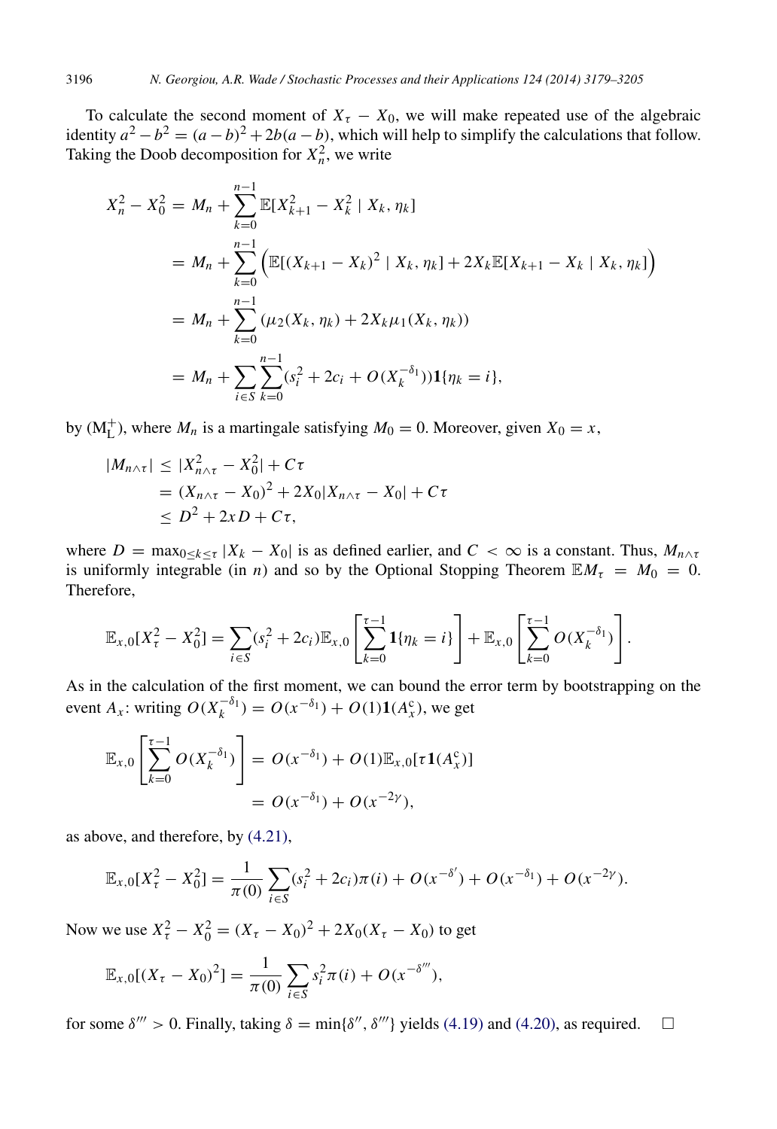To calculate the second moment of  $X<sub>\tau</sub> - X<sub>0</sub>$ , we will make repeated use of the algebraic identity  $a^2 - b^2 = (a - b)^2 + 2b(a - b)$ , which will help to simplify the calculations that follow. Taking the Doob decomposition for  $X_n^2$ , we write

$$
X_n^2 - X_0^2 = M_n + \sum_{k=0}^{n-1} \mathbb{E}[X_{k+1}^2 - X_k^2 | X_k, \eta_k]
$$
  
=  $M_n + \sum_{k=0}^{n-1} \left( \mathbb{E}[(X_{k+1} - X_k)^2 | X_k, \eta_k] + 2X_k \mathbb{E}[X_{k+1} - X_k | X_k, \eta_k] \right)$   
=  $M_n + \sum_{k=0}^{n-1} (\mu_2(X_k, \eta_k) + 2X_k \mu_1(X_k, \eta_k))$   
=  $M_n + \sum_{i \in S} \sum_{k=0}^{n-1} (s_i^2 + 2c_i + O(X_k^{-\delta_1})) \mathbf{1}{\{\eta_k = i\}},$ 

by  $(M<sub>L</sub><sup>+</sup>)$ , where  $M<sub>n</sub>$  is a martingale satisfying  $M<sub>0</sub> = 0$ . Moreover, given  $X<sub>0</sub> = x$ ,

$$
|M_{n\wedge\tau}| \le |X_{n\wedge\tau}^2 - X_0^2| + C\tau
$$
  
=  $(X_{n\wedge\tau} - X_0)^2 + 2X_0|X_{n\wedge\tau} - X_0| + C\tau$   
 $\le D^2 + 2xD + C\tau,$ 

where  $D = \max_{0 \le k \le \tau} |X_k - X_0|$  is as defined earlier, and  $C < \infty$  is a constant. Thus,  $M_{n \wedge \tau}$ is uniformly integrable (in *n*) and so by the Optional Stopping Theorem  $\mathbb{E}M_{\tau} = M_0 = 0$ . Therefore,

$$
\mathbb{E}_{x,0}[X_{\tau}^2 - X_0^2] = \sum_{i \in S} (s_i^2 + 2c_i) \mathbb{E}_{x,0} \left[ \sum_{k=0}^{\tau-1} \mathbf{1}{\{\eta_k = i\}} \right] + \mathbb{E}_{x,0} \left[ \sum_{k=0}^{\tau-1} O(X_k^{-\delta_1}) \right].
$$

As in the calculation of the first moment, we can bound the error term by bootstrapping on the event *A<sub>x</sub>*: writing  $O(X_k^{-\delta_1}) = O(x^{-\delta_1}) + O(1)1(A_x^c)$ , we get

$$
\mathbb{E}_{x,0}\left[\sum_{k=0}^{\tau-1} O(X_k^{-\delta_1})\right] = O(x^{-\delta_1}) + O(1)\mathbb{E}_{x,0}[\tau \mathbf{1}(A_x^c)]
$$
  
=  $O(x^{-\delta_1}) + O(x^{-2\gamma}),$ 

as above, and therefore, by [\(4.21\),](#page-17-0)

$$
\mathbb{E}_{x,0}[X_{\tau}^2 - X_0^2] = \frac{1}{\pi(0)} \sum_{i \in S} (s_i^2 + 2c_i)\pi(i) + O(x^{-\delta'}) + O(x^{-\delta_1}) + O(x^{-2\gamma}).
$$

Now we use  $X_{\tau}^2 - X_0^2 = (X_{\tau} - X_0)^2 + 2X_0(X_{\tau} - X_0)$  to get

$$
\mathbb{E}_{x,0}[(X_{\tau}-X_0)^2]=\frac{1}{\pi(0)}\sum_{i\in S}s_i^2\pi(i)+O(x^{-\delta'''}),
$$

for some  $\delta''' > 0$ . Finally, taking  $\delta = \min{\delta''}, \delta'''$  yields [\(4.19\)](#page-16-3) and [\(4.20\),](#page-16-4) as required.  $\square$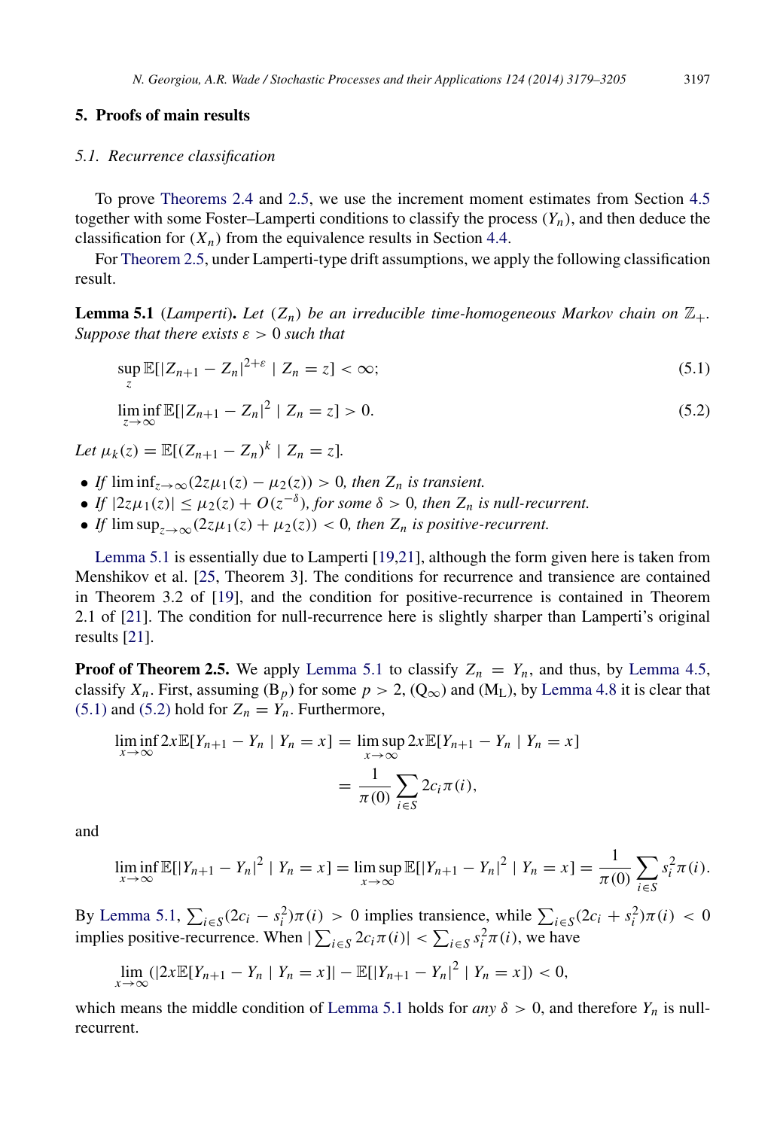#### <span id="page-19-0"></span>5. Proofs of main results

#### *5.1. Recurrence classification*

To prove [Theorems 2.4](#page-5-0) and [2.5,](#page-5-1) we use the increment moment estimates from Section [4.5](#page-14-2) together with some Foster–Lamperti conditions to classify the process  $(Y_n)$ , and then deduce the classification for  $(X_n)$  from the equivalence results in Section [4.4.](#page-13-1)

For [Theorem 2.5,](#page-5-1) under Lamperti-type drift assumptions, we apply the following classification result.

**Lemma 5.1** (*Lamperti*). Let  $(Z_n)$  be an irreducible time-homogeneous Markov chain on  $\mathbb{Z}_+$ . *Suppose that there exists* ε > 0 *such that*

<span id="page-19-3"></span><span id="page-19-2"></span><span id="page-19-1"></span>
$$
\sup_{z} \mathbb{E}[|Z_{n+1} - Z_n|^{2+\varepsilon} \mid Z_n = z] < \infty;\tag{5.1}
$$

 $\liminf_{z \to \infty}$  *E*[|Z<sub>*n*+1</sub> − Z<sub>*n*</sub>|<sup>2</sup> | Z<sub>*n*</sub> = *z*] > 0. (5.2)

*Let*  $\mu_k(z) = \mathbb{E}[(Z_{n+1} - Z_n)^k \mid Z_n = z].$ 

- *If*  $\liminf_{z\to\infty}(2z\mu_1(z) \mu_2(z)) > 0$ , then  $Z_n$  is transient.
- If  $|2z\mu_1(z)| \leq \mu_2(z) + O(z^{-\delta})$ , for some  $\delta > 0$ , then  $Z_n$  is null-recurrent.
- *If*  $\limsup_{z\to\infty}(2z\mu_1(z)+\mu_2(z))$  < 0*, then*  $Z_n$  *is positive-recurrent.*

[Lemma 5.1](#page-19-1) is essentially due to Lamperti [\[19,](#page-27-3)[21\]](#page-27-4), although the form given here is taken from Menshikov et al. [\[25,](#page-27-8) Theorem 3]. The conditions for recurrence and transience are contained in Theorem 3.2 of [\[19\]](#page-27-3), and the condition for positive-recurrence is contained in Theorem 2.1 of [\[21\]](#page-27-4). The condition for null-recurrence here is slightly sharper than Lamperti's original results [\[21\]](#page-27-4).

**Proof of Theorem 2.5.** We apply [Lemma 5.1](#page-19-1) to classify  $Z_n = Y_n$ , and thus, by [Lemma 4.5,](#page-13-2) classify  $X_n$ . First, assuming  $(B_p)$  for some  $p > 2$ ,  $(Q_\infty)$  and  $(M_L)$ , by [Lemma 4.8](#page-16-5) it is clear that [\(5.1\)](#page-19-2) and [\(5.2\)](#page-19-3) hold for  $Z_n = Y_n$ . Furthermore,

$$
\liminf_{x \to \infty} 2x \mathbb{E}[Y_{n+1} - Y_n \mid Y_n = x] = \limsup_{x \to \infty} 2x \mathbb{E}[Y_{n+1} - Y_n \mid Y_n = x]
$$

$$
= \frac{1}{\pi(0)} \sum_{i \in S} 2c_i \pi(i),
$$

and

$$
\liminf_{x \to \infty} \mathbb{E}[|Y_{n+1} - Y_n|^2 | Y_n = x] = \limsup_{x \to \infty} \mathbb{E}[|Y_{n+1} - Y_n|^2 | Y_n = x] = \frac{1}{\pi(0)} \sum_{i \in S} s_i^2 \pi(i).
$$

By [Lemma 5.1,](#page-19-1)  $\sum_{i \in S} (2c_i - s_i^2)\pi(i) > 0$  implies transience, while  $\sum_{i \in S} (2c_i + s_i^2)\pi(i) < 0$ implies positive-recurrence. When  $|\sum_{i \in S} 2c_i \pi(i)| < \sum_{i \in S} s_i^2 \pi(i)$ , we have

$$
\lim_{x \to \infty} (|2x \mathbb{E}[Y_{n+1} - Y_n | Y_n = x]| - \mathbb{E}[|Y_{n+1} - Y_n|^2 | Y_n = x]) < 0,
$$

which means the middle condition of [Lemma 5.1](#page-19-1) holds for *any*  $\delta > 0$ , and therefore  $Y_n$  is nullrecurrent.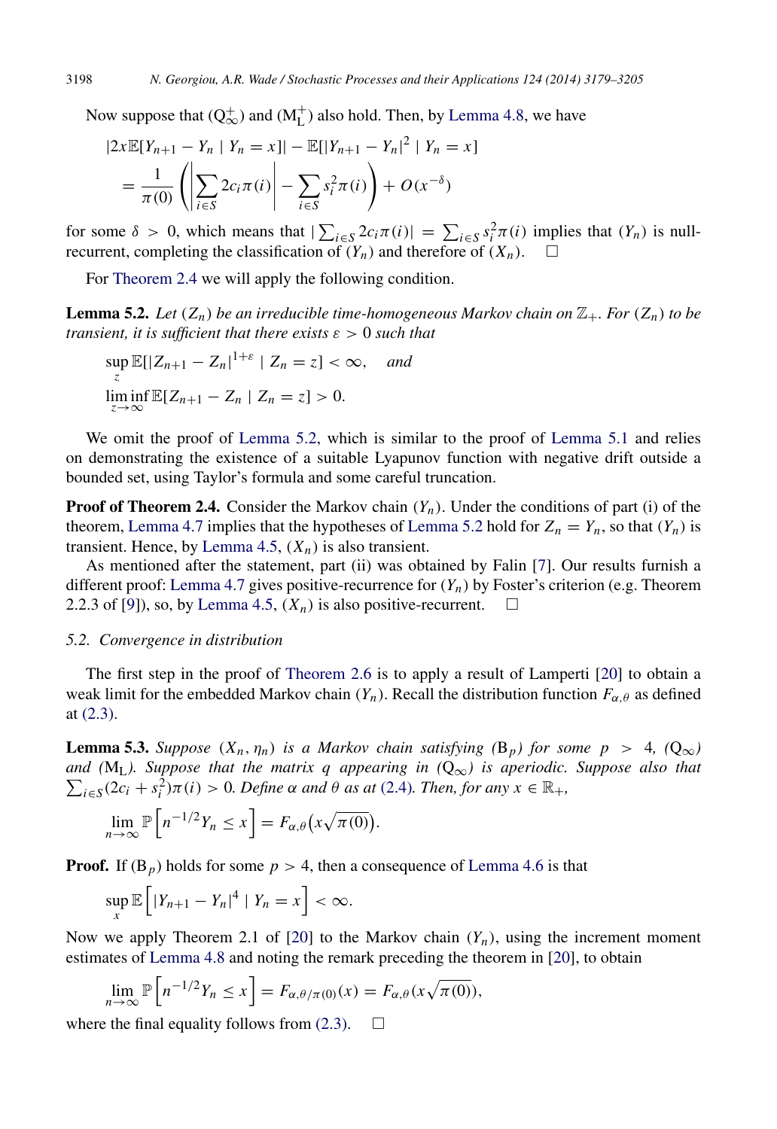Now suppose that  $(Q_{\infty}^+)$  and  $(M_{L}^+)$  also hold. Then, by [Lemma 4.8,](#page-16-5) we have

$$
|2x\mathbb{E}[Y_{n+1} - Y_n | Y_n = x]| - \mathbb{E}[|Y_{n+1} - Y_n|^2 | Y_n = x]
$$
  
=  $\frac{1}{\pi(0)} \left( \left| \sum_{i \in S} 2c_i \pi(i) \right| - \sum_{i \in S} s_i^2 \pi(i) \right) + O(x^{-\delta})$ 

for some  $\delta > 0$ , which means that  $|\sum_{i \in S} 2c_i \pi(i)| = \sum_{i \in S} s_i^2 \pi(i)$  implies that  $(Y_n)$  is nullrecurrent, completing the classification of  $(Y_n)$  and therefore of  $(X_n)$ .

For [Theorem 2.4](#page-5-0) we will apply the following condition.

**Lemma 5.2.** Let  $(Z_n)$  be an irreducible time-homogeneous Markov chain on  $\mathbb{Z}_+$ . For  $(Z_n)$  to be *transient, it is sufficient that there exists* ε > 0 *such that*

<span id="page-20-1"></span> $\sup \mathbb{E}[|Z_{n+1} - Z_n|^{1+\varepsilon} | Z_n = z] < \infty$ , *and z*  $\liminf_{z \to \infty} \mathbb{E}[Z_{n+1} - Z_n \mid Z_n = z] > 0.$ 

We omit the proof of [Lemma 5.2,](#page-20-1) which is similar to the proof of [Lemma 5.1](#page-19-1) and relies on demonstrating the existence of a suitable Lyapunov function with negative drift outside a bounded set, using Taylor's formula and some careful truncation.

**Proof of Theorem 2.4.** Consider the Markov chain  $(Y_n)$ . Under the conditions of part (i) of the theorem, [Lemma 4.7](#page-15-4) implies that the hypotheses of [Lemma 5.2](#page-20-1) hold for  $Z_n = Y_n$ , so that  $(Y_n)$  is transient. Hence, by [Lemma 4.5,](#page-13-2)  $(X_n)$  is also transient.

As mentioned after the statement, part (ii) was obtained by Falin [\[7\]](#page-26-4). Our results furnish a different proof: [Lemma 4.7](#page-15-4) gives positive-recurrence for  $(Y_n)$  by Foster's criterion (e.g. Theorem 2.2.3 of [\[9\]](#page-26-3)), so, by [Lemma 4.5,](#page-13-2)  $(X_n)$  is also positive-recurrent.  $\square$ 

#### <span id="page-20-0"></span>*5.2. Convergence in distribution*

The first step in the proof of [Theorem 2.6](#page-5-2) is to apply a result of Lamperti [\[20\]](#page-27-5) to obtain a weak limit for the embedded Markov chain  $(Y_n)$ . Recall the distribution function  $F_{\alpha,\theta}$  as defined at [\(2.3\).](#page-5-3)

<span id="page-20-2"></span>**Lemma 5.3.** *Suppose*  $(X_n, \eta_n)$  *is a Markov chain satisfying*  $(B_p)$  *for some*  $p > 4$ ,  $(Q_\infty)$ *and (* ML*). Suppose that the matrix q appearing in (*Q∞*) is aperiodic. Suppose also that*  $\sum_{i \in S} (2c_i + s_i^2) \pi(i) > 0$ *. Define*  $\alpha$  *and*  $\theta$  *as at* [\(2.4\)](#page-5-4)*. Then, for any*  $x \in \mathbb{R}_+$ *,* 

$$
\lim_{n \to \infty} \mathbb{P}\left[n^{-1/2}Y_n \le x\right] = F_{\alpha,\theta}\left(x\sqrt{\pi(0)}\right).
$$

**Proof.** If  $(B_p)$  holds for some  $p > 4$ , then a consequence of [Lemma 4.6](#page-14-1) is that

$$
\sup_{x} \mathbb{E}\left[|Y_{n+1}-Y_n|^4 \mid Y_n=x\right] < \infty.
$$

Now we apply Theorem 2.1 of [\[20\]](#page-27-5) to the Markov chain  $(Y_n)$ , using the increment moment estimates of [Lemma 4.8](#page-16-5) and noting the remark preceding the theorem in [\[20\]](#page-27-5), to obtain

$$
\lim_{n \to \infty} \mathbb{P}\left[n^{-1/2}Y_n \le x\right] = F_{\alpha,\theta/\pi(0)}(x) = F_{\alpha,\theta}(x\sqrt{\pi(0)}),
$$

where the final equality follows from  $(2.3)$ .  $\Box$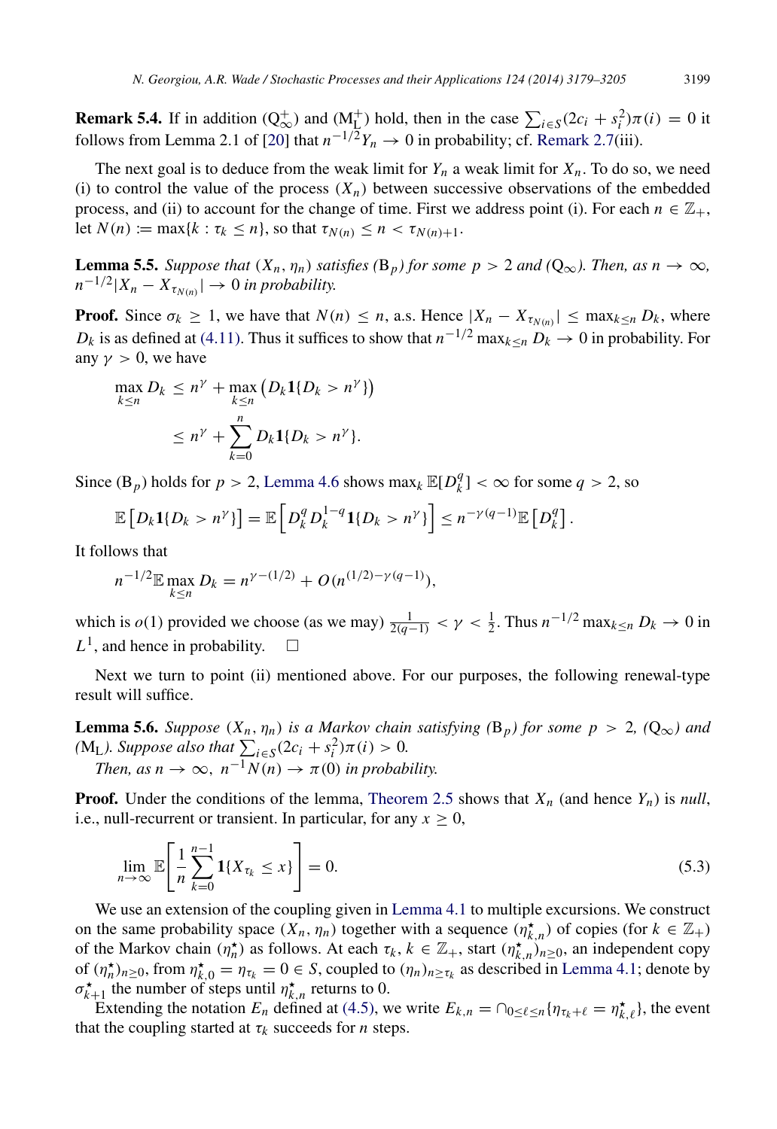**Remark 5.4.** If in addition  $(Q^+_{\infty})$  and  $(M^+_{\infty})$  hold, then in the case  $\sum_{i \in S} (2c_i + s_i^2)\pi(i) = 0$  it follows from Lemma 2.1 of [\[20\]](#page-27-5) that  $n^{-1/2}Y_n \to 0$  in probability; cf. [Remark 2.7\(](#page-6-3)iii).

The next goal is to deduce from the weak limit for  $Y_n$  a weak limit for  $X_n$ . To do so, we need (i) to control the value of the process  $(X_n)$  between successive observations of the embedded process, and (ii) to account for the change of time. First we address point (i). For each  $n \in \mathbb{Z}_+$ , let  $N(n) := \max\{k : \tau_k \leq n\}$ , so that  $\tau_{N(n)} \leq n < \tau_{N(n)+1}$ .

<span id="page-21-2"></span>**Lemma 5.5.** *Suppose that*  $(X_n, \eta_n)$  *satisfies*  $(B_p)$  *for some*  $p > 2$  *and*  $(Q_\infty)$ *. Then, as*  $n \to \infty$ *,*  $n^{-1/2} |X_n - X_{\tau_{N(n)}}| \to 0$  *in probability.* 

**Proof.** Since  $\sigma_k \geq 1$ , we have that  $N(n) \leq n$ , a.s. Hence  $|X_n - X_{\tau_{N(n)}}| \leq \max_{k \leq n} D_k$ , where *D<sub>k</sub>* is as defined at [\(4.11\).](#page-14-0) Thus it suffices to show that  $n^{-1/2} \max_{k \le n} D_k \to 0$  in probability. For any  $\nu > 0$ , we have

$$
\max_{k \le n} D_k \le n^{\gamma} + \max_{k \le n} \left( D_k \mathbf{1} \{ D_k > n^{\gamma} \} \right)
$$
  
 
$$
\le n^{\gamma} + \sum_{k=0}^n D_k \mathbf{1} \{ D_k > n^{\gamma} \}.
$$

Since  $(B_p)$  holds for  $p > 2$ , [Lemma 4.6](#page-14-1) shows max<sub>*k*</sub>  $\mathbb{E}[D_k^q]$  ${k \choose k} < \infty$  for some  $q > 2$ , so

$$
\mathbb{E}\left[D_k\mathbf{1}\{D_k>n^{\gamma}\}\right]=\mathbb{E}\left[D_k^qD_k^{1-q}\mathbf{1}\{D_k>n^{\gamma}\}\right]\leq n^{-\gamma(q-1)}\mathbb{E}\left[D_k^q\right].
$$

It follows that

$$
n^{-1/2} \mathbb{E} \max_{k \le n} D_k = n^{\gamma - (1/2)} + O(n^{(1/2) - \gamma(q-1)}),
$$

which is  $o(1)$  provided we choose (as we may)  $\frac{1}{2(q-1)} < \gamma < \frac{1}{2}$ . Thus  $n^{-1/2} \max_{k \le n} D_k \to 0$  in  $L^1$ , and hence in probability.  $\square$ 

Next we turn to point (ii) mentioned above. For our purposes, the following renewal-type result will suffice.

<span id="page-21-1"></span>**Lemma 5.6.** *Suppose*  $(X_n, \eta_n)$  *is a Markov chain satisfying*  $(B_p)$  *for some*  $p > 2$ ,  $(Q_\infty)$  *and (M<sub>L</sub>). Suppose also that*  $\sum_{i \in S} (2c_i + s_i^2) \pi(i) > 0$ *. Then, as n*  $\rightarrow \infty$ *, n*<sup>-1</sup>*N*(*n*)  $\rightarrow \pi$ (0) *in probability.* 

**Proof.** Under the conditions of the lemma, [Theorem 2.5](#page-5-1) shows that  $X_n$  (and hence  $Y_n$ ) is *null*, i.e., null-recurrent or transient. In particular, for any  $x \geq 0$ ,

<span id="page-21-0"></span>
$$
\lim_{n \to \infty} \mathbb{E}\bigg[\frac{1}{n} \sum_{k=0}^{n-1} \mathbf{1}\{X_{\tau_k} \le x\}\bigg] = 0. \tag{5.3}
$$

We use an extension of the coupling given in [Lemma 4.1](#page-10-0) to multiple excursions. We construct on the same probability space  $(X_n, \eta_n)$  together with a sequence  $(\eta_{k,n}^{\star})$  of copies (for  $k \in \mathbb{Z}_+$ ) of the Markov chain  $(\eta_n^{\star})$  as follows. At each  $\tau_k$ ,  $k \in \mathbb{Z}_+$ , start  $(\eta_{k,n}^{\star})_{n \geq 0}$ , an independent copy of  $(\eta_n^*)_{n\geq 0}$ , from  $\eta_{k,0}^* = \eta_{\tau_k} = 0 \in S$ , coupled to  $(\eta_n)_{n \geq \tau_k}$  as described in [Lemma 4.1;](#page-10-0) denote by  $\sigma_{k+1}^{\star}$  the number of steps until  $\eta_{k,n}^{\star}$  returns to 0.

Extending the notation  $E_n$  defined at [\(4.5\),](#page-11-1) we write  $E_{k,n} = \bigcap_{0 \leq \ell \leq n} \{\eta_{\tau_k+\ell} = \eta_{k,\ell}^{\star}\},$  the event that the coupling started at  $\tau_k$  succeeds for *n* steps.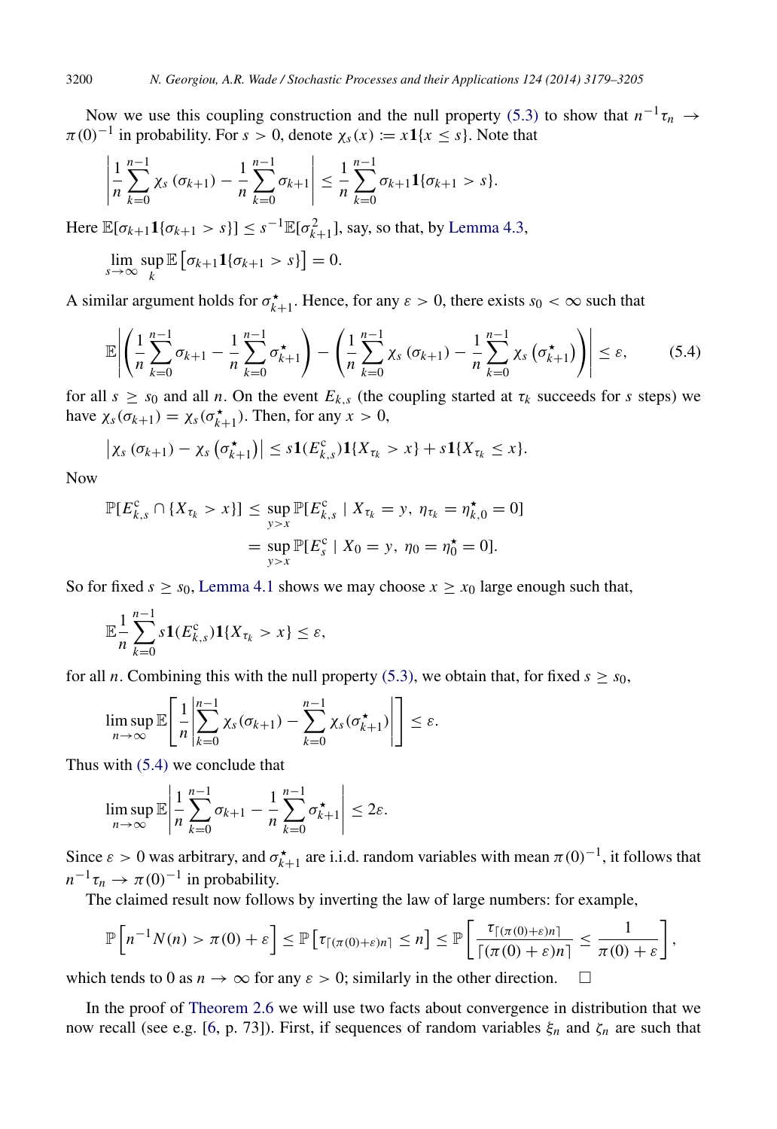Now we use this coupling construction and the null property [\(5.3\)](#page-21-0) to show that  $n^{-1}\tau_n \to$  $\pi(0)^{-1}$  in probability. For  $s > 0$ , denote  $\chi_s(x) := x \mathbf{1}\{x \leq s\}$ . Note that

$$
\left|\frac{1}{n}\sum_{k=0}^{n-1}\chi_s\left(\sigma_{k+1}\right)-\frac{1}{n}\sum_{k=0}^{n-1}\sigma_{k+1}\right|\leq \frac{1}{n}\sum_{k=0}^{n-1}\sigma_{k+1}\mathbf{1}\{\sigma_{k+1}>s\}.
$$

Here  $\mathbb{E}[\sigma_{k+1}\mathbf{1}\{\sigma_{k+1} > s\}] \leq s^{-1}\mathbb{E}[\sigma_{k+1}^2]$ , say, so that, by [Lemma 4.3,](#page-11-2)

$$
\lim_{s\to\infty}\sup_k\mathbb{E}\left[\sigma_{k+1}\mathbf{1}\{\sigma_{k+1}>s\}\right]=0.
$$

A similar argument holds for  $\sigma_{k+1}^*$ . Hence, for any  $\varepsilon > 0$ , there exists  $s_0 < \infty$  such that

<span id="page-22-0"></span>
$$
\mathbb{E}\left|\left(\frac{1}{n}\sum_{k=0}^{n-1}\sigma_{k+1}-\frac{1}{n}\sum_{k=0}^{n-1}\sigma_{k+1}^{\star}\right)-\left(\frac{1}{n}\sum_{k=0}^{n-1}\chi_{s}\left(\sigma_{k+1}\right)-\frac{1}{n}\sum_{k=0}^{n-1}\chi_{s}\left(\sigma_{k+1}^{\star}\right)\right)\right| \leq \varepsilon,\tag{5.4}
$$

for all  $s \geq s_0$  and all *n*. On the event  $E_{k,s}$  (the coupling started at  $\tau_k$  succeeds for *s* steps) we have  $\chi_s(\sigma_{k+1}) = \chi_s(\sigma_{k+1}^{\star})$ . Then, for any  $x > 0$ ,

$$
\left|\chi_s\left(\sigma_{k+1}\right)-\chi_s\left(\sigma_{k+1}^{\star}\right)\right|\leq s\mathbf{1}(E_{k,s}^c)\mathbf{1}\{X_{\tau_k}>x\}+s\mathbf{1}\{X_{\tau_k}\leq x\}.
$$

Now

$$
\mathbb{P}[E_{k,s}^c \cap \{X_{\tau_k} > x\}] \le \sup_{y > x} \mathbb{P}[E_{k,s}^c \mid X_{\tau_k} = y, \ \eta_{\tau_k} = \eta_{k,0}^{\star} = 0]
$$
  
=  $\sup_{y > x} \mathbb{P}[E_s^c \mid X_0 = y, \ \eta_0 = \eta_0^{\star} = 0].$ 

So for fixed  $s \geq s_0$ , [Lemma 4.1](#page-10-0) shows we may choose  $x \geq x_0$  large enough such that,

$$
\mathbb{E}_n^{\frac{1}{n}} \sum_{k=0}^{n-1} s \mathbf{1}(E_{k,s}^c) \mathbf{1}\{X_{\tau_k} > x\} \leq \varepsilon,
$$

for all *n*. Combining this with the null property [\(5.3\),](#page-21-0) we obtain that, for fixed  $s \geq s_0$ ,

$$
\limsup_{n\to\infty}\mathbb{E}\Bigg[\frac{1}{n}\Bigg|\sum_{k=0}^{n-1}\chi_s(\sigma_{k+1})-\sum_{k=0}^{n-1}\chi_s(\sigma_{k+1}^{\star})\Bigg|\Bigg]\leq\varepsilon.
$$

Thus with [\(5.4\)](#page-22-0) we conclude that

$$
\limsup_{n\to\infty}\mathbb{E}\left|\frac{1}{n}\sum_{k=0}^{n-1}\sigma_{k+1}-\frac{1}{n}\sum_{k=0}^{n-1}\sigma_{k+1}^{\star}\right|\leq 2\varepsilon.
$$

Since  $\varepsilon > 0$  was arbitrary, and  $\sigma_{k+1}^{\star}$  are i.i.d. random variables with mean  $\pi(0)^{-1}$ , it follows that  $n^{-1}\tau_n \to \pi(0)^{-1}$  in probability.

The claimed result now follows by inverting the law of large numbers: for example,

$$
\mathbb{P}\left[n^{-1}N(n) > \pi(0) + \varepsilon\right] \leq \mathbb{P}\left[\tau_{\lceil(\pi(0)+\varepsilon)n\rceil} \leq n\right] \leq \mathbb{P}\left[\frac{\tau_{\lceil(\pi(0)+\varepsilon)n\rceil}}{\lceil(\pi(0)+\varepsilon)n\rceil} \leq \frac{1}{\pi(0)+\varepsilon}\right],
$$

which tends to 0 as  $n \to \infty$  for any  $\varepsilon > 0$ ; similarly in the other direction.

In the proof of [Theorem 2.6](#page-5-2) we will use two facts about convergence in distribution that we now recall (see e.g. [\[6,](#page-26-17) p. 73]). First, if sequences of random variables ξ*n* and ζ*n* are such that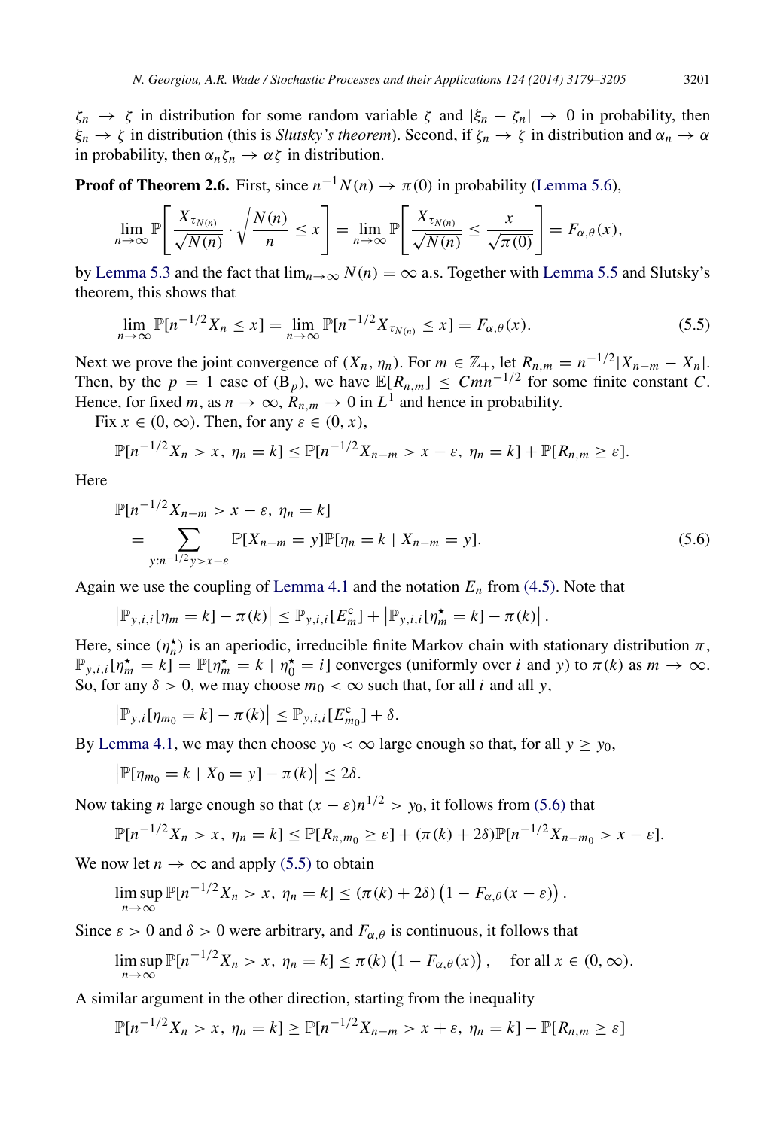$\zeta_n \to \zeta$  in distribution for some random variable  $\zeta$  and  $|\xi_n - \zeta_n| \to 0$  in probability, then  $\xi_n \to \zeta$  in distribution (this is *Slutsky's theorem*). Second, if  $\zeta_n \to \zeta$  in distribution and  $\alpha_n \to \alpha$ in probability, then  $\alpha_n \zeta_n \to \alpha \zeta$  in distribution.

**Proof of Theorem 2.6.** First, since  $n^{-1}N(n) \to \pi(0)$  in probability [\(Lemma 5.6\)](#page-21-1),

$$
\lim_{n\to\infty}\mathbb{P}\left[\frac{X_{\tau_{N(n)}}}{\sqrt{N(n)}}\cdot\sqrt{\frac{N(n)}{n}}\leq x\right]=\lim_{n\to\infty}\mathbb{P}\left[\frac{X_{\tau_{N(n)}}}{\sqrt{N(n)}}\leq\frac{x}{\sqrt{\pi(0)}}\right]=F_{\alpha,\theta}(x),
$$

by [Lemma 5.3](#page-20-2) and the fact that  $\lim_{n\to\infty} N(n) = \infty$  a.s. Together with [Lemma 5.5](#page-21-2) and Slutsky's theorem, this shows that

<span id="page-23-1"></span>
$$
\lim_{n \to \infty} \mathbb{P}[n^{-1/2} X_n \le x] = \lim_{n \to \infty} \mathbb{P}[n^{-1/2} X_{\tau_{N(n)}} \le x] = F_{\alpha, \theta}(x). \tag{5.5}
$$

Next we prove the joint convergence of  $(X_n, \eta_n)$ . For  $m \in \mathbb{Z}_+$ , let  $R_{n,m} = n^{-1/2}|X_{n-m} - X_n|$ . Then, by the  $p = 1$  case of  $(\mathbf{B}_p)$ , we have  $\mathbb{E}[R_{n,m}] \leq Cmn^{-1/2}$  for some finite constant *C*. Hence, for fixed *m*, as  $n \to \infty$ ,  $R_{n,m} \to 0$  in  $L^1$  and hence in probability.

Fix  $x \in (0, \infty)$ . Then, for any  $\varepsilon \in (0, x)$ ,

$$
\mathbb{P}[n^{-1/2}X_n > x, \eta_n = k] \leq \mathbb{P}[n^{-1/2}X_{n-m} > x - \varepsilon, \eta_n = k] + \mathbb{P}[R_{n,m} \geq \varepsilon].
$$

Here

<span id="page-23-0"></span>
$$
\mathbb{P}[n^{-1/2}X_{n-m} > x - \varepsilon, \eta_n = k] \n= \sum_{y:n^{-1/2}y > x - \varepsilon} \mathbb{P}[X_{n-m} = y] \mathbb{P}[\eta_n = k | X_{n-m} = y].
$$
\n(5.6)

Again we use the coupling of [Lemma 4.1](#page-10-0) and the notation *E<sup>n</sup>* from [\(4.5\).](#page-11-1) Note that

$$
\left|\mathbb{P}_{y,i,i}[\eta_m = k] - \pi(k)\right| \leq \mathbb{P}_{y,i,i}[E_m^c] + \left|\mathbb{P}_{y,i,i}[\eta_m^{\star} = k] - \pi(k)\right|.
$$

Here, since  $(\eta_n^{\star})$  is an aperiodic, irreducible finite Markov chain with stationary distribution  $\pi$ ,  $\mathbb{P}_{y,i,i}[\eta_m^* = k] = \mathbb{P}[\eta_m^* = k | \eta_0^* = i]$  converges (uniformly over *i* and *y*) to  $\pi(k)$  as  $m \to \infty$ . So, for any  $\delta > 0$ , we may choose  $m_0 < \infty$  such that, for all *i* and all *y*,

$$
\left|\mathbb{P}_{y,i}[\eta_{m_0}=k]-\pi(k)\right|\leq \mathbb{P}_{y,i,i}[E_{m_0}^c]+\delta.
$$

By [Lemma 4.1,](#page-10-0) we may then choose  $y_0 < \infty$  large enough so that, for all  $y \ge y_0$ ,

$$
\left|\mathbb{P}[\eta_{m_0}=k \mid X_0=y]-\pi(k)\right| \leq 2\delta.
$$

Now taking *n* large enough so that  $(x - \varepsilon)n^{1/2} > y_0$ , it follows from [\(5.6\)](#page-23-0) that

$$
\mathbb{P}[n^{-1/2}X_n > x, \eta_n = k] \leq \mathbb{P}[R_{n,m_0} \geq \varepsilon] + (\pi(k) + 2\delta)\mathbb{P}[n^{-1/2}X_{n-m_0} > x - \varepsilon].
$$

We now let  $n \to \infty$  and apply [\(5.5\)](#page-23-1) to obtain

$$
\limsup_{n\to\infty} \mathbb{P}[n^{-1/2}X_n > x, \eta_n = k] \leq (\pi(k) + 2\delta) \left(1 - F_{\alpha,\theta}(x - \varepsilon)\right).
$$

Since  $\varepsilon > 0$  and  $\delta > 0$  were arbitrary, and  $F_{\alpha,\theta}$  is continuous, it follows that

$$
\limsup_{n \to \infty} \mathbb{P}[n^{-1/2}X_n > x, \eta_n = k] \le \pi(k) \left(1 - F_{\alpha,\theta}(x)\right), \quad \text{for all } x \in (0,\infty).
$$

A similar argument in the other direction, starting from the inequality

$$
\mathbb{P}[n^{-1/2}X_n > x, \eta_n = k] \ge \mathbb{P}[n^{-1/2}X_{n-m} > x + \varepsilon, \eta_n = k] - \mathbb{P}[R_{n,m} \ge \varepsilon]
$$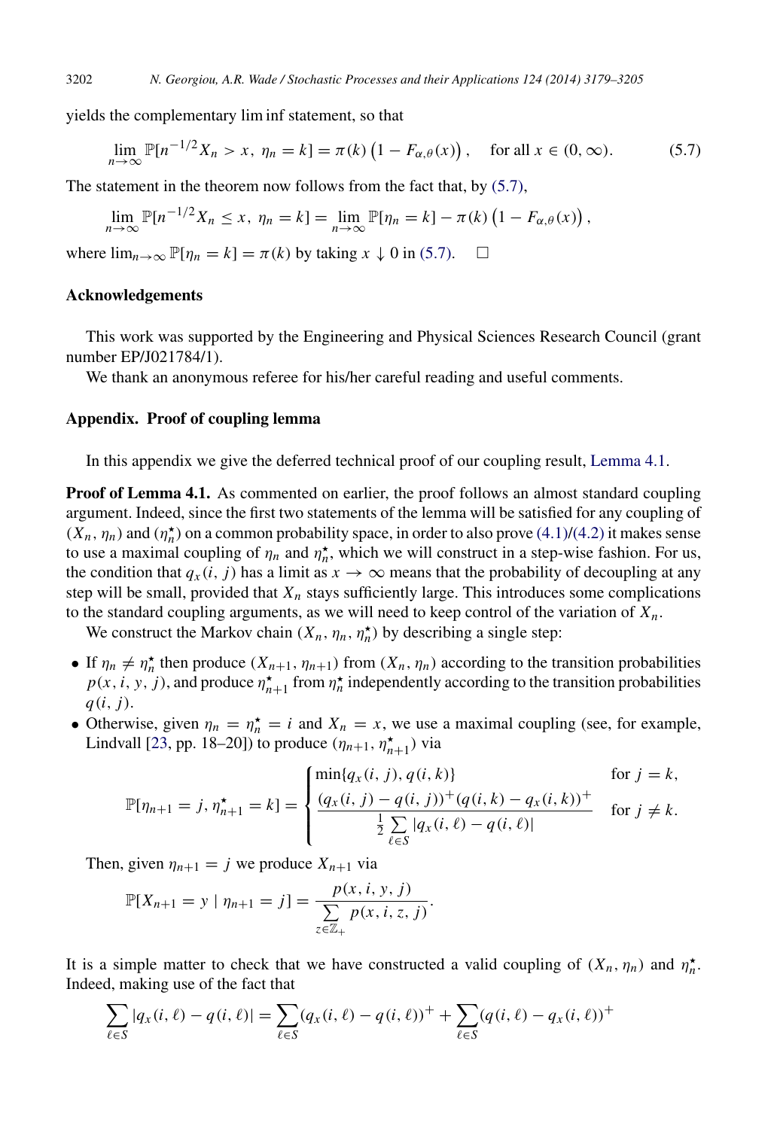yields the complementary lim inf statement, so that

<span id="page-24-1"></span>
$$
\lim_{n \to \infty} \mathbb{P}[n^{-1/2}X_n > x, \eta_n = k] = \pi(k) \left(1 - F_{\alpha,\theta}(x)\right), \quad \text{for all } x \in (0, \infty). \tag{5.7}
$$

The statement in the theorem now follows from the fact that, by [\(5.7\),](#page-24-1)

$$
\lim_{n\to\infty}\mathbb{P}[n^{-1/2}X_n\leq x,\ \eta_n=k]=\lim_{n\to\infty}\mathbb{P}[\eta_n=k]-\pi(k)\left(1-F_{\alpha,\theta}(x)\right),
$$

where  $\lim_{n\to\infty} \mathbb{P}[\eta_n = k] = \pi(k)$  by taking  $x \downarrow 0$  in [\(5.7\).](#page-24-1)  $\Box$ 

#### Acknowledgements

This work was supported by the Engineering and Physical Sciences Research Council (grant number EP/J021784/1).

<span id="page-24-0"></span>We thank an anonymous referee for his/her careful reading and useful comments.

#### Appendix. Proof of coupling lemma

In this appendix we give the deferred technical proof of our coupling result, [Lemma 4.1.](#page-10-0)

**Proof of Lemma 4.1.** As commented on earlier, the proof follows an almost standard coupling argument. Indeed, since the first two statements of the lemma will be satisfied for any coupling of  $(X_n, \eta_n)$  and  $(\eta_n^{\star})$  on a common probability space, in order to also prove [\(4.1\)](#page-10-1)[/\(4.2\)](#page-10-2) it makes sense to use a maximal coupling of  $\eta_n$  and  $\eta_n^*$ , which we will construct in a step-wise fashion. For us, the condition that  $q_x(i, j)$  has a limit as  $x \to \infty$  means that the probability of decoupling at any step will be small, provided that  $X_n$  stays sufficiently large. This introduces some complications to the standard coupling arguments, as we will need to keep control of the variation of  $X_n$ .

We construct the Markov chain  $(X_n, \eta_n, \eta_n^*)$  by describing a single step:

- If  $\eta_n \neq \eta_n^*$  then produce  $(X_{n+1}, \eta_{n+1})$  from  $(X_n, \eta_n)$  according to the transition probabilities  $p(x, i, y, j)$ , and produce  $n_{n+1}^{\star}$  from  $n_n^{\star}$  independently according to the transition probabilities *q*(*i*, *j*).
- Otherwise, given  $\eta_n = \eta_n^* = i$  and  $X_n = x$ , we use a maximal coupling (see, for example, Lindvall [\[23,](#page-27-9) pp. 18–20]) to produce  $(\eta_{n+1}, \eta_{n+1}^{\star})$  via

$$
\mathbb{P}[\eta_{n+1} = j, \eta_{n+1}^{\star} = k] = \begin{cases} \min\{q_x(i,j), q(i,k)\} & \text{for } j = k, \\ \frac{(q_x(i,j) - q(i,j))^+(q(i,k) - q_x(i,k))^+}{\frac{1}{2}\sum\limits_{\ell \in S}|q_x(i,\ell) - q(i,\ell)|} & \text{for } j \neq k. \end{cases}
$$

Then, given  $\eta_{n+1} = j$  we produce  $X_{n+1}$  via

$$
\mathbb{P}[X_{n+1} = y | \eta_{n+1} = j] = \frac{p(x, i, y, j)}{\sum_{z \in \mathbb{Z}_+} p(x, i, z, j)}.
$$

It is a simple matter to check that we have constructed a valid coupling of  $(X_n, \eta_n)$  and  $\eta_n^*$ . Indeed, making use of the fact that

$$
\sum_{\ell \in S} |q_x(i, \ell) - q(i, \ell)| = \sum_{\ell \in S} (q_x(i, \ell) - q(i, \ell))^+ + \sum_{\ell \in S} (q(i, \ell) - q_x(i, \ell))^+
$$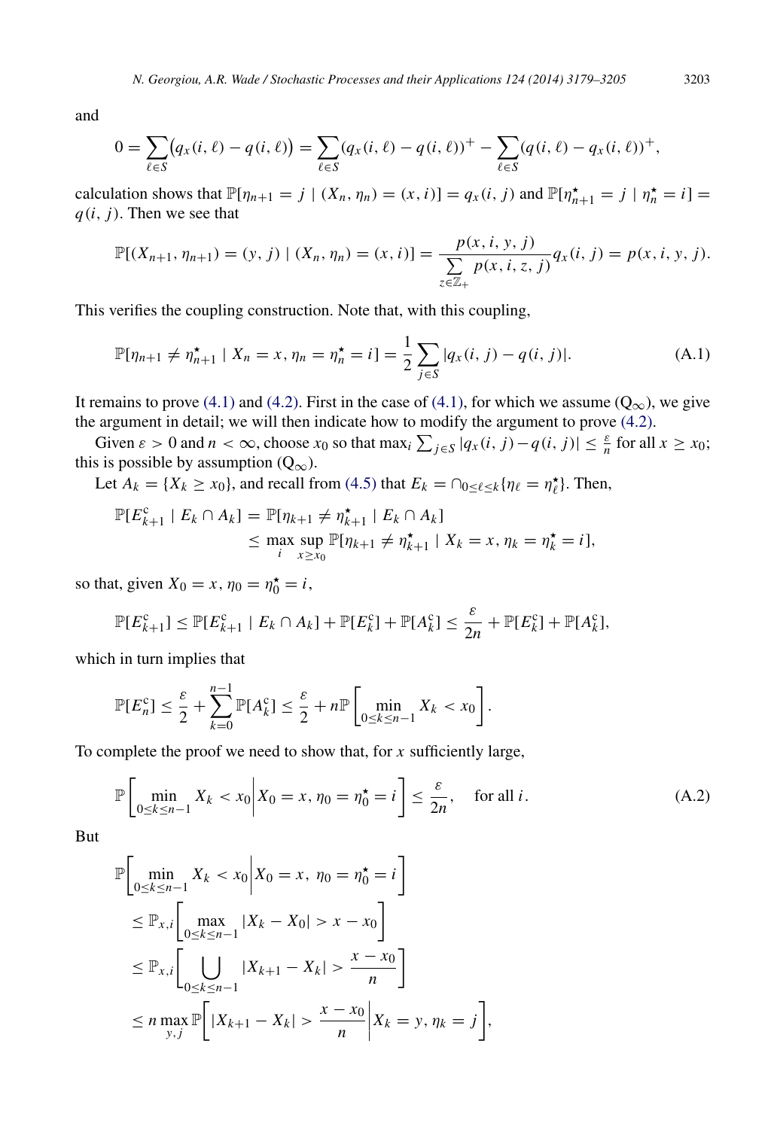and

$$
0 = \sum_{\ell \in S} (q_x(i, \ell) - q(i, \ell)) = \sum_{\ell \in S} (q_x(i, \ell) - q(i, \ell))^+ - \sum_{\ell \in S} (q(i, \ell) - q_x(i, \ell))^+,
$$

calculation shows that  $\mathbb{P}[\eta_{n+1} = j | (X_n, \eta_n) = (x, i)] = q_x(i, j)$  and  $\mathbb{P}[\eta_{n+1}^{\star} = j | \eta_n^{\star} = i] =$ *q*(*i*, *j*). Then we see that

$$
\mathbb{P}[(X_{n+1}, \eta_{n+1}) = (y, j) | (X_n, \eta_n) = (x, i)] = \frac{p(x, i, y, j)}{\sum_{z \in \mathbb{Z}_+} p(x, i, z, j)} q_x(i, j) = p(x, i, y, j).
$$

This verifies the coupling construction. Note that, with this coupling,

<span id="page-25-1"></span>
$$
\mathbb{P}[\eta_{n+1} \neq \eta_{n+1}^{\star} \mid X_n = x, \eta_n = \eta_n^{\star} = i] = \frac{1}{2} \sum_{j \in S} |q_x(i, j) - q(i, j)|. \tag{A.1}
$$

It remains to prove [\(4.1\)](#page-10-1) and [\(4.2\).](#page-10-2) First in the case of [\(4.1\),](#page-10-1) for which we assume ( $Q_{\infty}$ ), we give the argument in detail; we will then indicate how to modify the argument to prove [\(4.2\).](#page-10-2)

Given  $\varepsilon > 0$  and  $n < \infty$ , choose  $x_0$  so that max<sub>i</sub>  $\sum_{j \in S} |q_x(i, j) - q(i, j)| \leq \frac{\varepsilon}{n}$  for all  $x \geq x_0$ ; this is possible by assumption  $(Q_{\infty})$ .

Let  $A_k = \{X_k \ge x_0\}$ , and recall from [\(4.5\)](#page-11-1) that  $E_k = \bigcap_{0 \le \ell \le k} \{\eta_\ell = \eta_\ell^*\}$ . Then,

$$
\mathbb{P}[E_{k+1}^c \mid E_k \cap A_k] = \mathbb{P}[\eta_{k+1} \neq \eta_{k+1}^{\star} \mid E_k \cap A_k] \leq \max_{i} \sup_{x \geq x_0} \mathbb{P}[\eta_{k+1} \neq \eta_{k+1}^{\star} \mid X_k = x, \eta_k = \eta_k^{\star} = i],
$$

so that, given  $X_0 = x$ ,  $\eta_0 = \eta_0^* = i$ ,

$$
\mathbb{P}[E_{k+1}^c] \leq \mathbb{P}[E_{k+1}^c \mid E_k \cap A_k] + \mathbb{P}[E_k^c] + \mathbb{P}[A_k^c] \leq \frac{\varepsilon}{2n} + \mathbb{P}[E_k^c] + \mathbb{P}[A_k^c],
$$

which in turn implies that

$$
\mathbb{P}[E_n^c] \leq \frac{\varepsilon}{2} + \sum_{k=0}^{n-1} \mathbb{P}[A_k^c] \leq \frac{\varepsilon}{2} + n \mathbb{P}\left[\min_{0 \leq k \leq n-1} X_k < x_0\right].
$$

To complete the proof we need to show that, for *x* sufficiently large,

<span id="page-25-0"></span>
$$
\mathbb{P}\left[\min_{0 \le k \le n-1} X_k < x_0 \middle| X_0 = x, \eta_0 = \eta_0^\star = i\right] \le \frac{\varepsilon}{2n}, \quad \text{for all } i. \tag{A.2}
$$

But

$$
\mathbb{P}\bigg[\min_{0 \le k \le n-1} X_k < x_0 \middle| X_0 = x, \ \eta_0 = \eta_0^{\star} = i \bigg] \\
\le \mathbb{P}_{x,i} \bigg[\max_{0 \le k \le n-1} |X_k - X_0| > x - x_0 \bigg] \\
\le \mathbb{P}_{x,i} \bigg[\bigcup_{0 \le k \le n-1} |X_{k+1} - X_k| > \frac{x - x_0}{n} \bigg] \\
\le n \max_{y,j} \mathbb{P}\bigg[|X_{k+1} - X_k| > \frac{x - x_0}{n} \bigg| X_k = y, \eta_k = j \bigg],
$$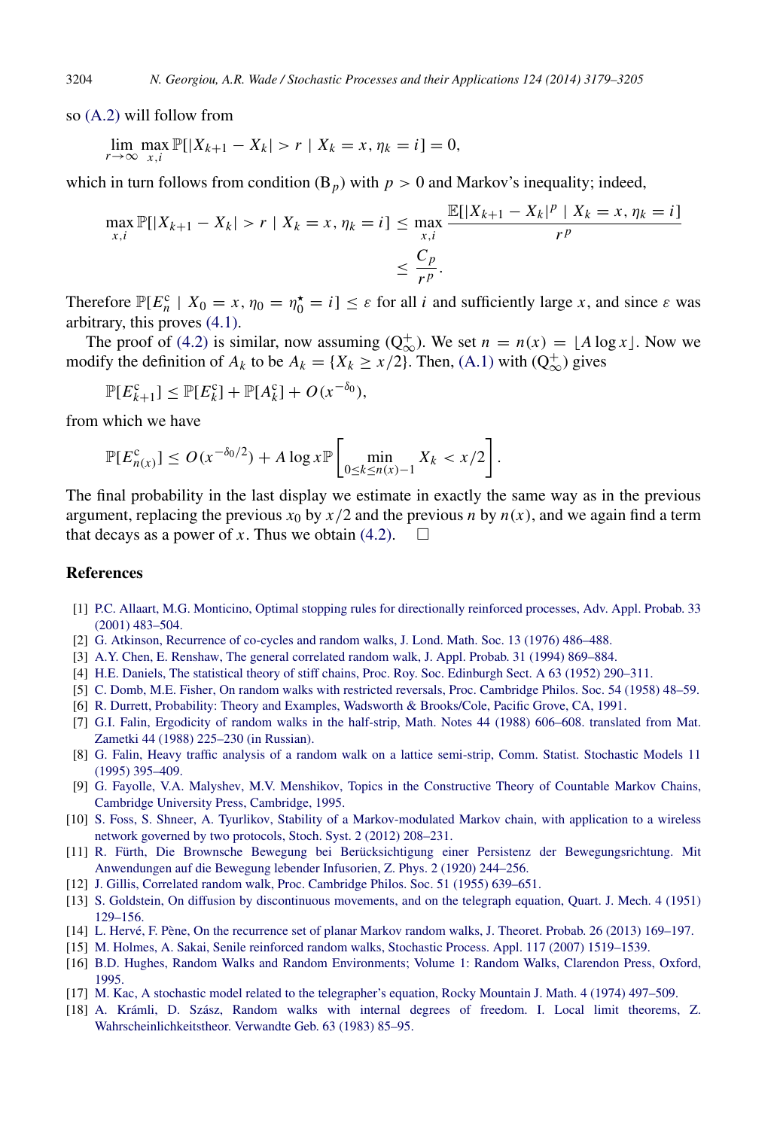so [\(A.2\)](#page-25-0) will follow from

$$
\lim_{r \to \infty} \max_{x,i} \mathbb{P}[|X_{k+1} - X_k| > r \mid X_k = x, \eta_k = i] = 0,
$$

which in turn follows from condition  $(B_p)$  with  $p > 0$  and Markov's inequality; indeed,

$$
\max_{x,i} \mathbb{P}[|X_{k+1} - X_k| > r \mid X_k = x, \eta_k = i] \le \max_{x,i} \frac{\mathbb{E}[|X_{k+1} - X_k|^p \mid X_k = x, \eta_k = i]}{r^p}
$$
\n
$$
\le \frac{C_p}{r^p}.
$$

Therefore  $\mathbb{P}[E_n^c \mid X_0 = x, \eta_0 = \eta_0^* = i] \leq \varepsilon$  for all *i* and sufficiently large *x*, and since  $\varepsilon$  was arbitrary, this proves [\(4.1\).](#page-10-1)

The proof of [\(4.2\)](#page-10-2) is similar, now assuming  $(Q_{\infty}^+)$ . We set  $n = n(x) = \lfloor A \log x \rfloor$ . Now we modify the definition of  $A_k$  to be  $A_k = \{X_k \ge x/2\}$ . Then, [\(A.1\)](#page-25-1) with  $(Q^+_{\infty})$  gives

$$
\mathbb{P}[E_{k+1}^c] \le \mathbb{P}[E_k^c] + \mathbb{P}[A_k^c] + O(x^{-\delta_0}),
$$

from which we have

$$
\mathbb{P}[E_{n(x)}^c] \le O(x^{-\delta_0/2}) + A \log x \mathbb{P}\left[\min_{0 \le k \le n(x)-1} X_k < x/2\right].
$$

The final probability in the last display we estimate in exactly the same way as in the previous argument, replacing the previous  $x_0$  by  $x/2$  and the previous *n* by  $n(x)$ , and we again find a term that decays as a power of *x*. Thus we obtain [\(4.2\).](#page-10-2)  $\Box$ 

#### **References**

- <span id="page-26-12"></span>[1] P.C[. Allaart, M.G. Monticino, Optimal stopping rules for directionally reinforced processes, Adv. Appl. Probab. 33](http://refhub.elsevier.com/S0304-4149(14)00115-X/sbref1) (2001) 483–504.
- <span id="page-26-6"></span>[2] G. [Atkinson, Recurrence of co-cycles and random walks, J. Lond. Math. Soc. 13 \(1976\) 486–488.](http://refhub.elsevier.com/S0304-4149(14)00115-X/sbref2)
- <span id="page-26-13"></span>[3] A.[Y. Chen, E. Renshaw, The general correlated random walk, J. Appl. Probab. 31 \(1994\) 869–884.](http://refhub.elsevier.com/S0304-4149(14)00115-X/sbref3)
- <span id="page-26-15"></span>[4] H.[E. Daniels, The statistical theory of stiff chains, Proc. Roy. Soc. Edinburgh Sect. A 63 \(1952\) 290–311.](http://refhub.elsevier.com/S0304-4149(14)00115-X/sbref4)
- <span id="page-26-9"></span>[5] C. [Domb, M.E. Fisher, On random walks with restricted reversals, Proc. Cambridge Philos. Soc. 54 \(1958\) 48–59.](http://refhub.elsevier.com/S0304-4149(14)00115-X/sbref5)
- <span id="page-26-17"></span>[6] R. [Durrett, Probability: Theory and Examples, Wadsworth & Brooks/Cole, Pacific Grove, CA, 1991.](http://refhub.elsevier.com/S0304-4149(14)00115-X/sbref6)
- <span id="page-26-4"></span>[7] G.I[. Falin, Ergodicity of random walks in the half-strip, Math. Notes 44 \(1988\) 606–608. translated from Mat.](http://refhub.elsevier.com/S0304-4149(14)00115-X/sbref7) Zametki 44 (1988) 225–230 (in Russian).
- <span id="page-26-5"></span>[8] G. [Falin, Heavy traffic analysis of a random walk on a lattice semi-strip, Comm. Statist. Stochastic Models 11](http://refhub.elsevier.com/S0304-4149(14)00115-X/sbref8) (1995) 395–409.
- <span id="page-26-3"></span>[9] G. [Fayolle, V.A. Malyshev, M.V. Menshikov, Topics in the Constructive Theory of Countable Markov Chains,](http://refhub.elsevier.com/S0304-4149(14)00115-X/sbref9) Cambridge University Press, Cambridge, 1995.
- <span id="page-26-1"></span>[10] S. [Foss, S. Shneer, A. Tyurlikov, Stability of a Markov-modulated Markov chain, with application to a wireless](http://refhub.elsevier.com/S0304-4149(14)00115-X/sbref10) network governed by two protocols, Stoch. Syst. 2 (2012) 208–231.
- <span id="page-26-7"></span>[11] R. Fürth, Die Brownsche Bewegung bei Berücksichtigung einer Persistenz der Bewegungsrichtung. Mit An[wendungen auf die Bewegung lebender Infusorien, Z. Phys. 2 \(1920\) 244–256.](http://refhub.elsevier.com/S0304-4149(14)00115-X/sbref11)
- <span id="page-26-8"></span>[12] J. [Gillis, Correlated random walk, Proc. Cambridge Philos. Soc. 51 \(1955\) 639–651.](http://refhub.elsevier.com/S0304-4149(14)00115-X/sbref12)
- <span id="page-26-10"></span>[13] S. [Goldstein, On diffusion by discontinuous movements, and on the telegraph equation, Quart. J. Mech. 4 \(1951\)](http://refhub.elsevier.com/S0304-4149(14)00115-X/sbref13) 129–156.
- <span id="page-26-2"></span>[14] L. Hervé, F. Pène, On the recurrence set of planar Markov random walks, J. Theoret. Probab. 26 (2013) 169–197.
- <span id="page-26-14"></span>[15] M. [Holmes, A. Sakai, Senile reinforced random walks, Stochastic Process. Appl. 117 \(2007\) 1519–1539.](http://refhub.elsevier.com/S0304-4149(14)00115-X/sbref15)
- <span id="page-26-16"></span>[16] B.[D. Hughes, Random Walks and Random Environments; Volume 1: Random Walks, Clarendon Press, Oxford,](http://refhub.elsevier.com/S0304-4149(14)00115-X/sbref16) 1995.
- <span id="page-26-11"></span>[17] M. [Kac, A stochastic model related to the telegrapher's equation, Rocky Mountain J. Math. 4 \(1974\) 497–509.](http://refhub.elsevier.com/S0304-4149(14)00115-X/sbref17)
- <span id="page-26-0"></span>[18] A. Krámli, D. Szász, Random walks with internal degrees of freedom. I. Local limit theorems, Z. Wahrscheinlichkeitstheor. Verwandte Geb. 63 (1983) 85–95.